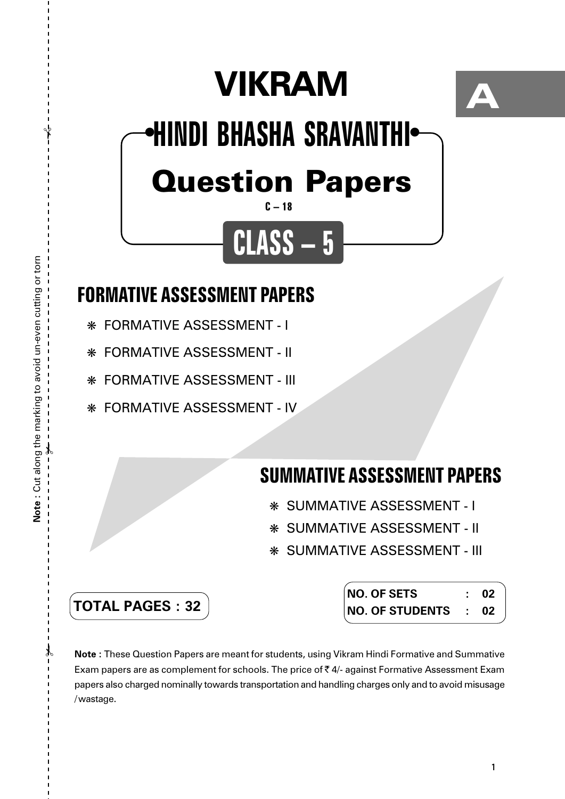# **VIKRAM**



## Question Papers **HINDI BHASHA SRAVANTHI** ● ●

### **C – 18**

**CLASS – 5**

## **FORMATIVE ASSESSMENT PAPERS**

- ❋ FORMATIVE ASSESSMENT I
- ❋ FORMATIVE ASSESSMENT II
- ❋ FORMATIVE ASSESSMENT III
- ❋ FORMATIVE ASSESSMENT IV

## **SUMMATIVE ASSESSMENT PAPERS**

- ❋ SUMMATIVE ASSESSMENT I
- ❋ SUMMATIVE ASSESSMENT II
- ❋ SUMMATIVE ASSESSMENT III

| <b>TOTAL PAGES : 32</b> |  |  |  |  |
|-------------------------|--|--|--|--|
|-------------------------|--|--|--|--|

| <b>NO. OF SETS</b> | 02 |
|--------------------|----|
| NO. OF STUDENTS :  | 02 |

**Note :** These Question Papers are meant for students, using Vikram Hindi Formative and Summative Exam papers are as complement for schools. The price of  $\bar{\tau}$  4/- against Formative Assessment Exam papers also charged nominally towards transportation and handling charges only and to avoid misusage /wastage.

 $\lambda$ 

 $\gamma$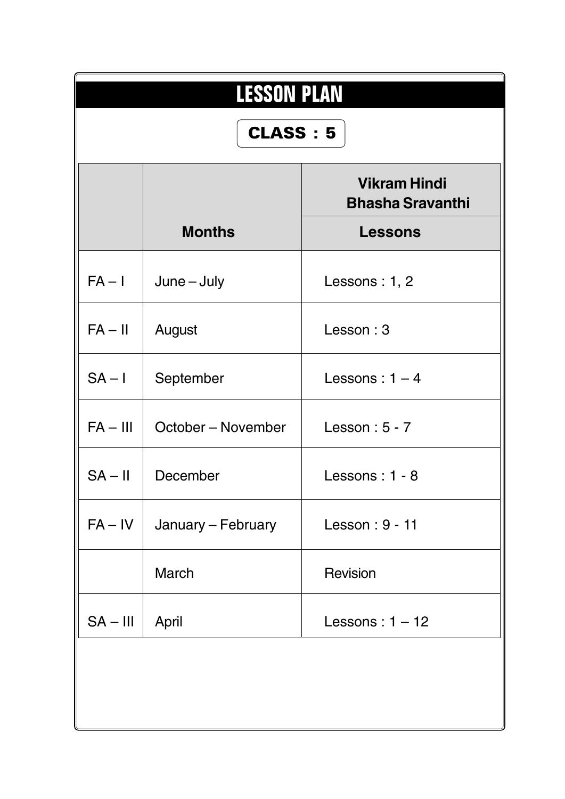| <b>LESSON PLAN</b><br><b>CLASS: 5</b>                                             |                    |                   |  |  |  |
|-----------------------------------------------------------------------------------|--------------------|-------------------|--|--|--|
| <b>Vikram Hindi</b><br><b>Bhasha Sravanthi</b><br><b>Months</b><br><b>Lessons</b> |                    |                   |  |  |  |
| $FA - I$                                                                          | $June - July$      | Lessons : $1, 2$  |  |  |  |
| $FA - II$                                                                         | August             | Lesson: 3         |  |  |  |
| $SA - I$                                                                          | September          | Lessons: $1 - 4$  |  |  |  |
| $FA - III$                                                                        | October – November | Lesson: $5 - 7$   |  |  |  |
| $SA - II$                                                                         | December           | Lessons: 1 - 8    |  |  |  |
| $FA - IV$                                                                         | January – February | Lesson: 9 - 11    |  |  |  |
|                                                                                   | March              | Revision          |  |  |  |
| $SA - III$                                                                        | April              | Lessons: $1 - 12$ |  |  |  |
|                                                                                   |                    |                   |  |  |  |
|                                                                                   |                    |                   |  |  |  |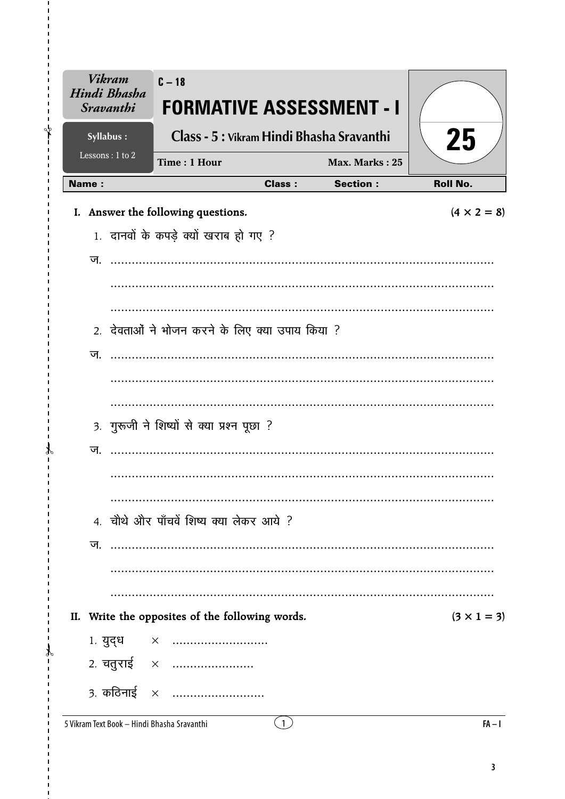| <b>Vikram</b><br>Hindi Bhasha<br><b>Sravanthi</b> | $C - 18$<br>FORMATIVE ASSESSMENT - I            |                |                 |                    |
|---------------------------------------------------|-------------------------------------------------|----------------|-----------------|--------------------|
| Syllabus:                                         | Class - 5 : Vikram Hindi Bhasha Sravanthi       |                |                 | 25                 |
| Lessons: 1 to 2                                   | Time: 1 Hour                                    |                | Max. Marks: 25  |                    |
| <b>Name:</b>                                      |                                                 | <b>Class:</b>  | <b>Section:</b> | <b>Roll No.</b>    |
|                                                   | I. Answer the following questions.              |                |                 | $(4 \times 2 = 8)$ |
|                                                   | 1. दानवों के कपड़े क्यों खराब हो गए ?           |                |                 |                    |
|                                                   |                                                 |                |                 |                    |
|                                                   |                                                 |                |                 |                    |
|                                                   |                                                 |                |                 |                    |
|                                                   | 2. देवताओं ने भोजन करने के लिए क्या उपाय किया ? |                |                 |                    |
| ज.                                                |                                                 |                |                 |                    |
|                                                   |                                                 |                |                 |                    |
|                                                   |                                                 |                |                 |                    |
|                                                   |                                                 |                |                 |                    |
|                                                   | 3. गुरूजी ने शिष्यों से क्या प्रश्न पूछा ?      |                |                 |                    |
| ज.                                                |                                                 |                |                 |                    |
|                                                   |                                                 |                |                 |                    |
|                                                   |                                                 |                |                 |                    |
|                                                   | 4. चौथे और पाँचवें शिष्य क्या लेकर आये ?        |                |                 |                    |
| ज.                                                |                                                 |                |                 |                    |
|                                                   |                                                 |                |                 |                    |
|                                                   |                                                 |                |                 |                    |
| II.                                               | Write the opposites of the following words.     |                |                 | $(3 \times 1 = 3)$ |
|                                                   | 1. युद्ध $\times$                               |                |                 |                    |
|                                                   | 2. चतुराई ×                                     |                |                 |                    |
|                                                   |                                                 |                |                 |                    |
|                                                   | 3. कठिनाई $\times$                              |                |                 |                    |
| 5 Vikram Text Book - Hindi Bhasha Sravanthi       |                                                 | $\overline{1}$ |                 | $FA - I$           |

 $\mathbf{I}$ ⊁่

 $\mathcal{X}$  $\mathbf{r}$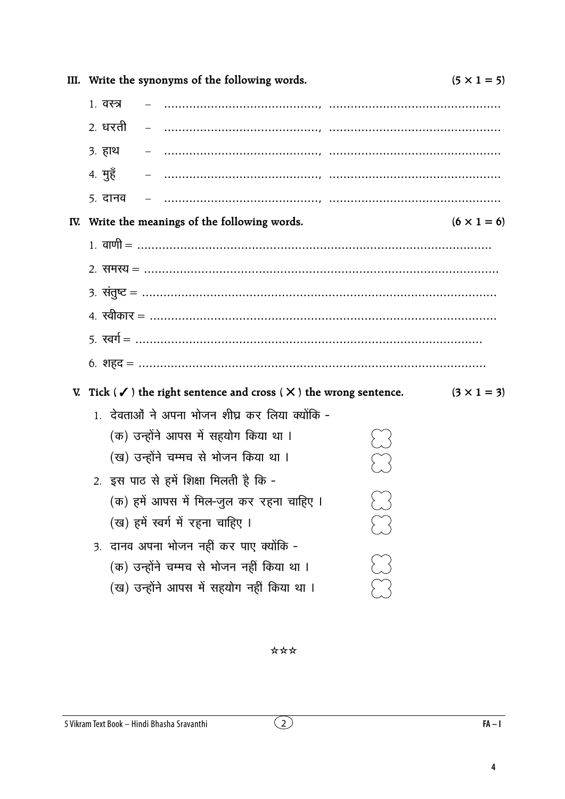|           | III. Write the synonyms of the following words.                                            | $(5 \times 1 = 5)$ |
|-----------|--------------------------------------------------------------------------------------------|--------------------|
| 1. वस्त्र |                                                                                            |                    |
|           | 2. धरती                                                                                    |                    |
| 3. हाथ    |                                                                                            |                    |
| 4. मुहॅ   |                                                                                            |                    |
|           | 5. दानव                                                                                    |                    |
|           | IV. Write the meanings of the following words.                                             | $(6 \times 1 = 6)$ |
|           | 1. वाणी = ……………………………………………………………………………………                                                 |                    |
|           |                                                                                            |                    |
|           |                                                                                            |                    |
|           |                                                                                            |                    |
|           |                                                                                            |                    |
|           |                                                                                            |                    |
|           | V. Tick ( $\checkmark$ ) the right sentence and cross ( $\checkmark$ ) the wrong sentence. | $(3 \times 1 = 3)$ |
|           | 1. देवताओं ने अपना भोजन शीघ्र कर लिया क्योंकि -                                            |                    |
|           | (क) उन्होंने आपस में सहयोग किया था ।                                                       |                    |
|           | (ख) उन्होंने चम्मच से भोजन किया था ।                                                       |                    |
|           | 2. इस पाठ से हमें शिक्षा मिलती है कि -                                                     |                    |
|           | (क) हमें आपस में मिल-जुल कर रहना चाहिए ।                                                   |                    |
|           | (ख) हमें स्वर्ग में रहना चाहिए ।                                                           |                    |
|           | 3. दानव अपना भोजन नहीं कर पाए क्योंकि -                                                    |                    |
|           | (क) उन्होंने चम्मच से भोजन नहीं किया था ।                                                  |                    |
|           | (ख) उन्होंने आपस में सहयोग नहीं किया था ।                                                  |                    |

\*\*\*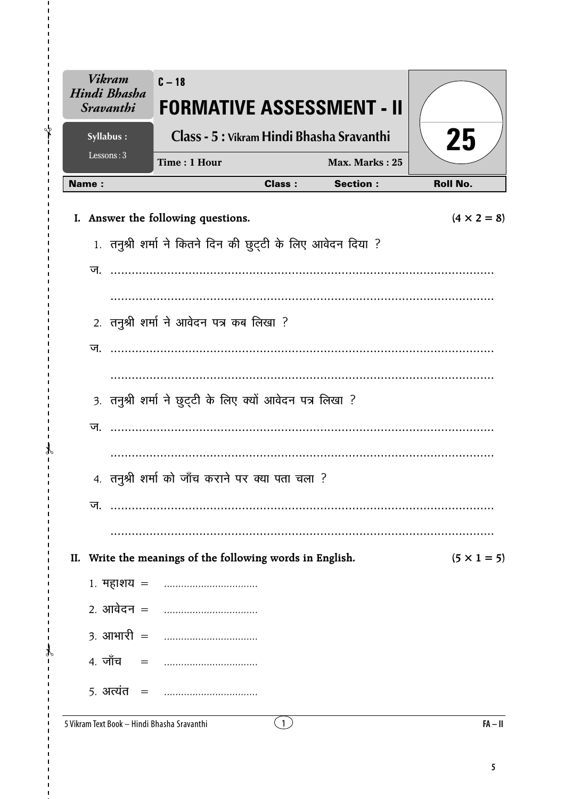| <b>Vikram</b><br>Hindi Bhasha<br><b>Sravanthi</b> | $C - 18$<br><b>FORMATIVE ASSESSMENT - II</b>                |               |                 |                    |
|---------------------------------------------------|-------------------------------------------------------------|---------------|-----------------|--------------------|
| Syllabus:                                         | Class - 5 : Vikram Hindi Bhasha Sravanthi                   |               |                 |                    |
| Lessons: $3$                                      | Time: 1 Hour                                                |               | Max. Marks: 25  | 25                 |
| <b>Name:</b>                                      |                                                             | <b>Class:</b> | <b>Section:</b> | <b>Roll No.</b>    |
|                                                   | I. Answer the following questions.                          |               |                 | $(4 \times 2 = 8)$ |
|                                                   | 1. तनुश्री शर्मा ने कितने दिन की छुट्टी के लिए आवेदन दिया ? |               |                 |                    |
| ज.                                                |                                                             |               |                 |                    |
|                                                   |                                                             |               |                 |                    |
|                                                   | 2. तनुश्री शर्मा ने आवेदन पत्र कब लिखा ?                    |               |                 |                    |
| ज                                                 |                                                             |               |                 |                    |
|                                                   |                                                             | .             |                 |                    |
|                                                   | 3. तनुश्री शर्मा ने छुट्टी के लिए क्यों आवेदन पत्र लिखा ?   |               |                 |                    |
| ज.                                                |                                                             |               |                 |                    |
|                                                   |                                                             |               |                 |                    |
|                                                   | 4. तनुश्री शर्मा को जाँच कराने पर क्या पता चला ?            |               |                 |                    |
| ज.                                                |                                                             |               |                 |                    |
|                                                   |                                                             |               |                 |                    |
| II.                                               | Write the meanings of the following words in English.       |               |                 | $(5 \times 1 = 5)$ |
|                                                   |                                                             |               |                 |                    |
| 2 <i>.</i> आवेदन =                                |                                                             |               |                 |                    |
| $3.$ आभारी $=$                                    | . <b>.</b> .                                                |               |                 |                    |
| 4. जाँच<br>$=$                                    |                                                             |               |                 |                    |
| 5. अत्यंत $=$                                     |                                                             |               |                 |                    |

5 Vikram Text Book - Hindi Bhasha Sravanthi

 $\overline{1}$  $\mathbf{I}$ √

 $\mathcal{X}$  $\mathbf{r}$ 

 $\mathcal{F}$  $\blacksquare$ 

 $\overline{\mathbf{5}}$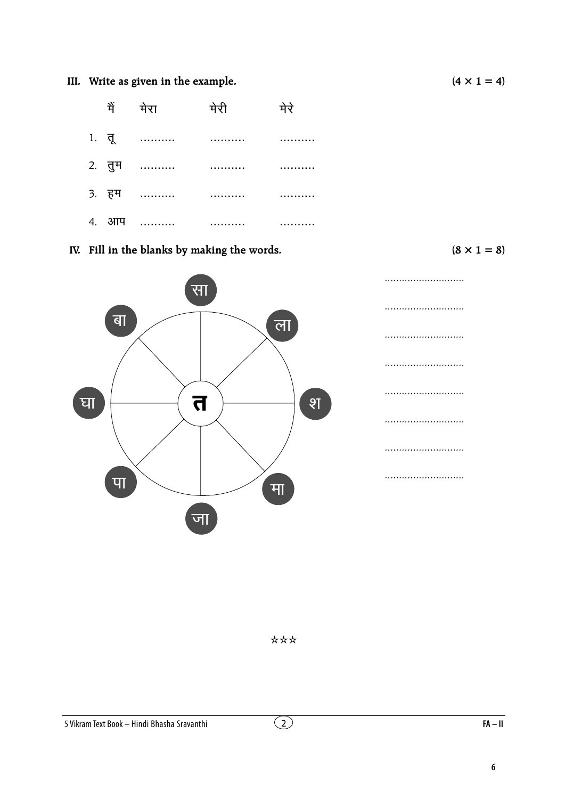### III. Write as given in the example.

|  | में मेरा मेरी        | मेरे |
|--|----------------------|------|
|  |                      |      |
|  |                      |      |
|  | 3. हम ………… ………… ………… |      |
|  | 4. 3114              |      |

IV. Fill in the blanks by making the words.

 $(8 \times 1 = 8)$ 



\*\*\*

 $(4 \times 1 = 4)$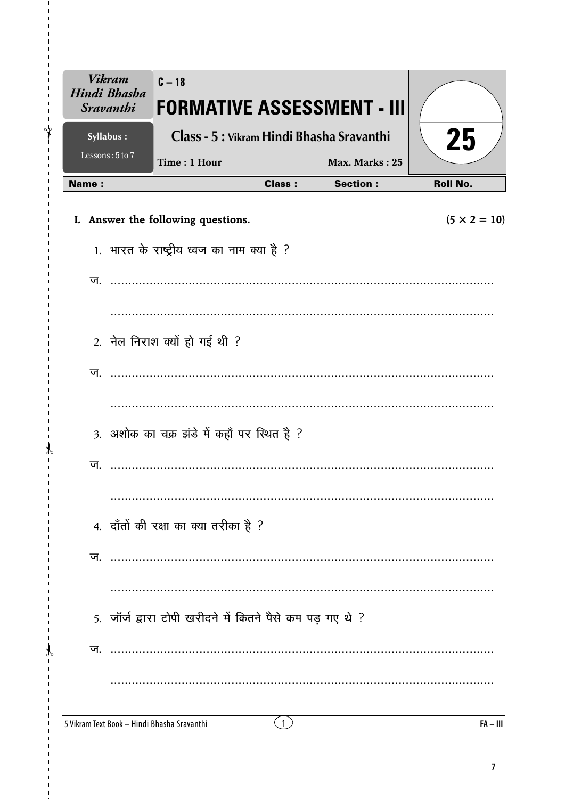| <b>Vikram</b><br>Hindi Bhasha<br><b>Sravanthi</b> | $C - 18$<br><b>FORMATIVE ASSESSMENT - III</b>             |               |                 |                     |
|---------------------------------------------------|-----------------------------------------------------------|---------------|-----------------|---------------------|
| Syllabus:                                         | Class - 5 : Vikram Hindi Bhasha Sravanthi                 |               |                 | 25                  |
| Lessons: 5 to 7                                   | Time: 1 Hour                                              |               | Max. Marks: 25  |                     |
| Name:                                             |                                                           | <b>Class:</b> | <b>Section:</b> | <b>Roll No.</b>     |
|                                                   | I. Answer the following questions.                        |               |                 | $(5 \times 2 = 10)$ |
|                                                   | 1. भारत के राष्ट्रीय ध्वज का नाम क्या है ?                |               |                 |                     |
|                                                   |                                                           |               |                 |                     |
|                                                   |                                                           |               |                 |                     |
|                                                   | 2. नेल निराश क्यों हो गई थी ?                             |               |                 |                     |
| ज                                                 |                                                           |               |                 |                     |
|                                                   |                                                           |               |                 |                     |
|                                                   | 3. अशोक का चक्र झंडे में कहाँ पर स्थित है ?               |               |                 |                     |
| ज                                                 |                                                           |               |                 |                     |
|                                                   |                                                           |               |                 |                     |
|                                                   | 4. दाँतों की रक्षा का क्या तरीका है ?                     |               |                 |                     |
| ज.                                                |                                                           |               |                 |                     |
|                                                   |                                                           |               |                 |                     |
|                                                   | 5. जॉर्ज द्वारा टोपी खरीदने में कितने पैसे कम पड़ गए थे ? |               |                 |                     |
| ज.                                                |                                                           |               |                 |                     |
|                                                   |                                                           |               |                 |                     |
| 5 Vikram Text Book - Hindi Bhasha Sravanthi       |                                                           | $\mathbf{1}$  |                 | $FA - III$          |

 $\mathbf{I}$ ⊁่

 $\mathcal{X}$  $\overline{1}$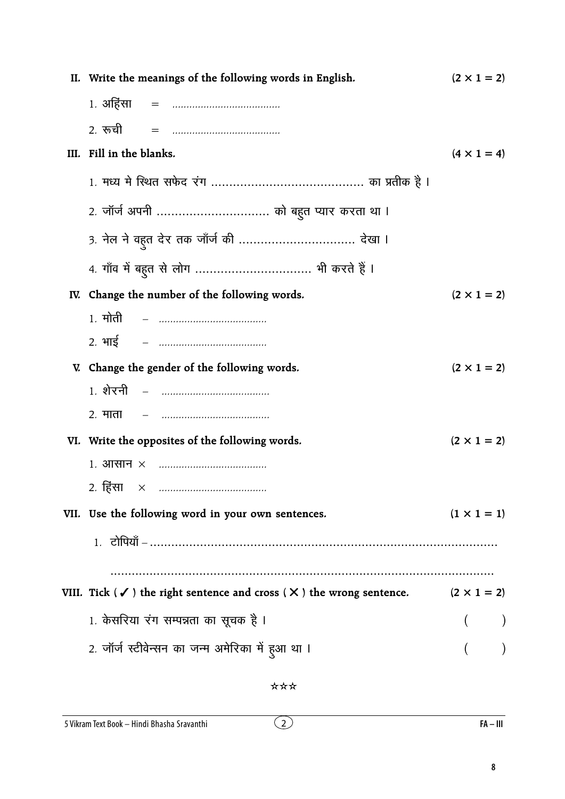| II. Write the meanings of the following words in English.                                                        | $(2 \times 1 = 2)$ |
|------------------------------------------------------------------------------------------------------------------|--------------------|
|                                                                                                                  |                    |
|                                                                                                                  |                    |
| III. Fill in the blanks.                                                                                         | $(4 \times 1 = 4)$ |
|                                                                                                                  |                    |
| 2. जॉर्ज अपनी  को बहुत प्यार करता था ।                                                                           |                    |
| 3. नेल ने वहुत देर तक जाँर्ज की  देखा ।                                                                          |                    |
|                                                                                                                  |                    |
| IV. Change the number of the following words.                                                                    | $(2 \times 1 = 2)$ |
|                                                                                                                  |                    |
|                                                                                                                  |                    |
| V. Change the gender of the following words.                                                                     | $(2 \times 1 = 2)$ |
| <u> 1. शेरनी   –   …………………………………</u>                                                                             |                    |
|                                                                                                                  |                    |
| VI. Write the opposites of the following words.                                                                  | $(2 \times 1 = 2)$ |
|                                                                                                                  |                    |
| 2. हिंसा                                                                                                         |                    |
| VII. Use the following word in your own sentences.                                                               | $(1 \times 1 = 1)$ |
|                                                                                                                  |                    |
|                                                                                                                  |                    |
| VIII. Tick ( $\checkmark$ ) the right sentence and cross ( $\checkmark$ ) the wrong sentence. (2 $\times$ 1 = 2) |                    |
| 1. केसरिया रंग सम्पन्नता का सूचक है ।                                                                            |                    |
| 2. जॉर्ज स्टीवेन्सन का जन्म अमेरिका में हुआ था ।                                                                 |                    |
|                                                                                                                  |                    |

 $\overline{2}$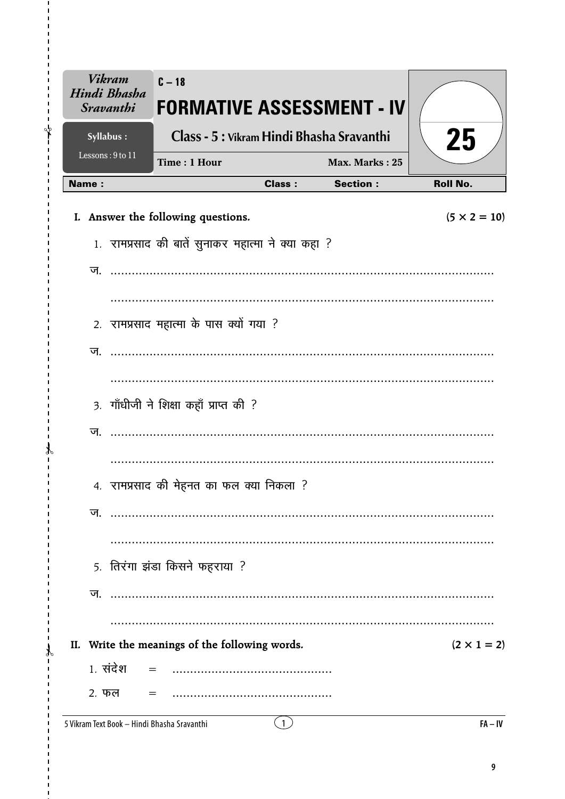| <b>Vikram</b><br>Hindi Bhasha<br><b>Sravanthi</b> | $C - 18$<br><b>FORMATIVE ASSESSMENT - IV</b>       |               |                 |                     |
|---------------------------------------------------|----------------------------------------------------|---------------|-----------------|---------------------|
| Syllabus:                                         | Class - 5 : Vikram Hindi Bhasha Sravanthi          |               |                 | 25                  |
| Lessons: 9 to 11                                  | Time: 1 Hour                                       |               | Max. Marks: 25  |                     |
| <b>Name:</b>                                      |                                                    | <b>Class:</b> | <b>Section:</b> | <b>Roll No.</b>     |
|                                                   | I. Answer the following questions.                 |               |                 | $(5 \times 2 = 10)$ |
|                                                   | 1. रामप्रसाद की बातें सुनाकर महात्मा ने क्या कहा ? |               |                 |                     |
| ज                                                 |                                                    |               |                 |                     |
|                                                   |                                                    |               |                 |                     |
|                                                   | 2. रामप्रसाद महात्मा के पास क्यों गया ?            |               |                 |                     |
| ज.                                                |                                                    |               |                 |                     |
|                                                   |                                                    |               |                 |                     |
|                                                   | 3. गाँधीजी ने शिक्षा कहाँ प्राप्त की ?             |               |                 |                     |
| ज.                                                |                                                    |               |                 |                     |
|                                                   |                                                    |               |                 |                     |
|                                                   | 4. रामप्रसाद की मेहनत का फल क्या निकला ?           |               |                 |                     |
| ज.                                                |                                                    |               |                 |                     |
|                                                   |                                                    |               |                 |                     |
|                                                   | 5. तिरंगा झंडा किसने फहराया ?                      |               |                 |                     |
| ज.                                                |                                                    |               |                 |                     |
|                                                   |                                                    |               |                 |                     |
|                                                   | II. Write the meanings of the following words.     |               |                 | $(2 \times 1 = 2)$  |
| 1. संदेश                                          |                                                    |               |                 |                     |
| 2. फल                                             |                                                    |               |                 |                     |

5 Vikram Text Book - Hindi Bhasha Sravanthi

 $\mathbf{I}$  $\sqrt[4]{}$ 

 $\mathcal{X}$  $\mathbf{r}$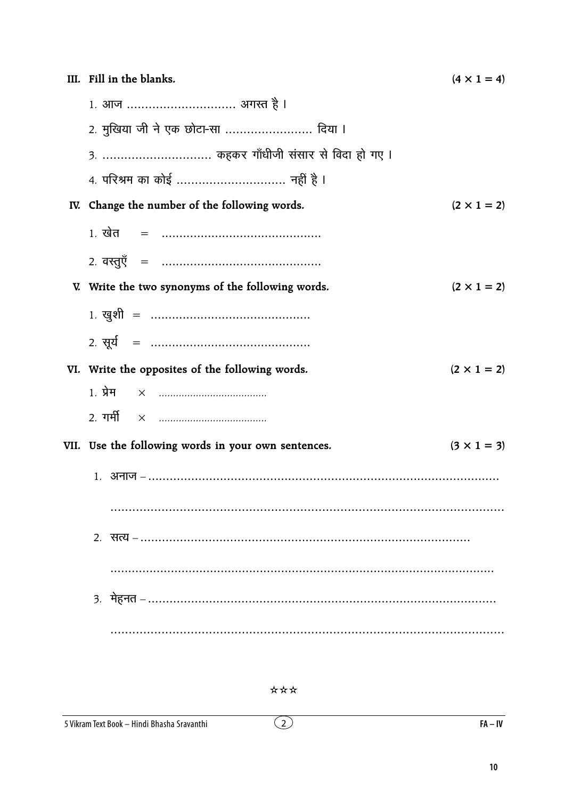| III. Fill in the blanks.                            | $(4 \times 1 = 4)$ |
|-----------------------------------------------------|--------------------|
| 1. आज  अगस्त है ।                                   |                    |
| 2. मुखिया जी ने एक छोटा-सा  दिया ।                  |                    |
| 3.  कहकर गाँधीजी संसार से विदा हो गए ।              |                    |
| 4. परिश्रम का कोई  नहीं है ।                        |                    |
| IV. Change the number of the following words.       | $(2 \times 1 = 2)$ |
|                                                     |                    |
|                                                     |                    |
| V. Write the two synonyms of the following words.   | $(2 \times 1 = 2)$ |
|                                                     |                    |
|                                                     |                    |
| VI. Write the opposites of the following words.     | $(2 \times 1 = 2)$ |
|                                                     |                    |
|                                                     |                    |
| VII. Use the following words in your own sentences. | $(3 \times 1 = 3)$ |
|                                                     |                    |
|                                                     |                    |
|                                                     |                    |
|                                                     |                    |
|                                                     |                    |
|                                                     |                    |

 $\overline{2}$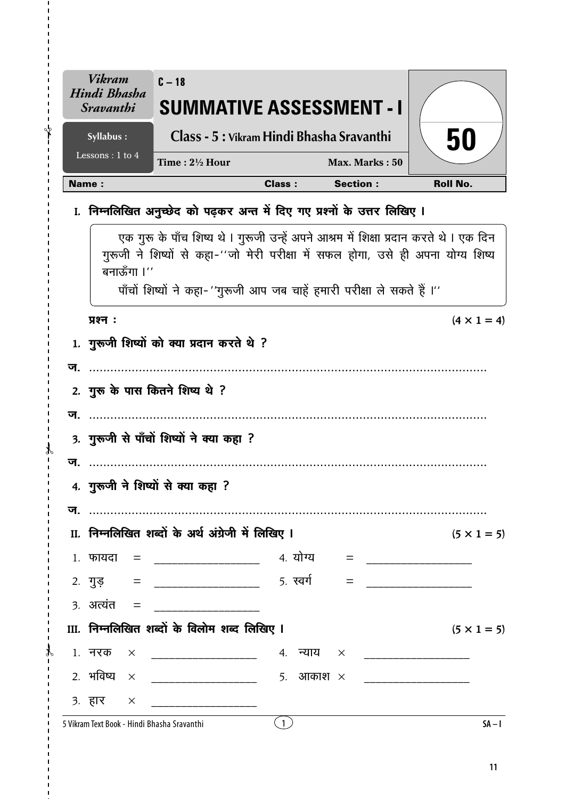|    | <b>Vikram</b><br>Hindi Bhasha<br><i><b>Sravanthi</b></i> | $C - 18$<br><b>SUMMATIVE ASSESSMENT - I</b>                                                                                                                                                                                                             |               |                 |                    |
|----|----------------------------------------------------------|---------------------------------------------------------------------------------------------------------------------------------------------------------------------------------------------------------------------------------------------------------|---------------|-----------------|--------------------|
|    | Syllabus:                                                | Class - 5 : Vikram Hindi Bhasha Sravanthi                                                                                                                                                                                                               |               |                 | 50                 |
|    | Lessons: 1 to 4                                          | Time: $2\frac{1}{2}$ Hour                                                                                                                                                                                                                               |               | Max. Marks: 50  |                    |
|    | <b>Name:</b>                                             |                                                                                                                                                                                                                                                         | <b>Class:</b> | <b>Section:</b> | <b>Roll No.</b>    |
|    |                                                          | I. निम्नलिखित अनुच्छेद को पढ़कर अन्त में दिए गए प्रश्नों के उत्तर लिखिए I                                                                                                                                                                               |               |                 |                    |
|    | बनाऊँगा ।''                                              | एक गुरू के पाँच शिष्य थे । गुरूजी उन्हें अपने आश्रम में शिक्षा प्रदान करते थे । एक दिन<br>गुरूजी ने शिष्यों से कहा-''जो मेरी परीक्षा में सफल होगा, उसे ही अपना योग्य शिष्य<br>पाँचों शिष्यों ने कहा- ''गुरूजी आप जब चाहें हमारी परीक्षा ले सकते हैं ।'' |               |                 |                    |
|    | प्रश्न:                                                  |                                                                                                                                                                                                                                                         |               |                 | $(4 \times 1 = 4)$ |
|    |                                                          | 1. गुरूजी शिष्यों को क्या प्रदान करते थे ?                                                                                                                                                                                                              |               |                 |                    |
|    | <b>ज</b> .                                               |                                                                                                                                                                                                                                                         |               |                 |                    |
|    |                                                          | 2. गुरू के पास कितने शिष्य थे ?                                                                                                                                                                                                                         |               |                 |                    |
|    |                                                          |                                                                                                                                                                                                                                                         |               |                 |                    |
|    |                                                          | 3. गुरूजी से पाँचों शिष्यों ने क्या कहा ?                                                                                                                                                                                                               |               |                 |                    |
| ज. |                                                          |                                                                                                                                                                                                                                                         |               |                 |                    |
|    |                                                          | 4. गुरूजी ने शिष्यों से क्या कहा ?                                                                                                                                                                                                                      |               |                 |                    |
|    |                                                          |                                                                                                                                                                                                                                                         |               |                 |                    |
|    |                                                          | II. निम्नलिखित शब्दों के अर्थ अंग्रेजी में लिखिए I                                                                                                                                                                                                      |               |                 | $(5 \times 1 = 5)$ |
|    | $1.$ फायदा =                                             |                                                                                                                                                                                                                                                         |               |                 |                    |
|    | $2. \ \ \ \frac{\pi}{3}$ =                               |                                                                                                                                                                                                                                                         |               | $=$             |                    |
|    | $3.$ अत्यंत $=$                                          |                                                                                                                                                                                                                                                         |               |                 |                    |
|    |                                                          | III. निम्नलिखित शब्दों के विलोम शब्द लिखिए I                                                                                                                                                                                                            |               |                 | $(5 \times 1 = 5)$ |
|    | 1. नरक                                                   |                                                                                                                                                                                                                                                         |               |                 |                    |
|    |                                                          | 2. भविष्य $\times$ _______________________ 5. आकाश $\times$                                                                                                                                                                                             |               |                 |                    |
|    | $3.77 \times 3.7$                                        |                                                                                                                                                                                                                                                         |               |                 |                    |
|    |                                                          | 5 Vikram Text Book - Hindi Bhasha Sravanthi                                                                                                                                                                                                             | (1)           |                 | $SA - I$           |

 $\overline{\phantom{a}}$ 

ł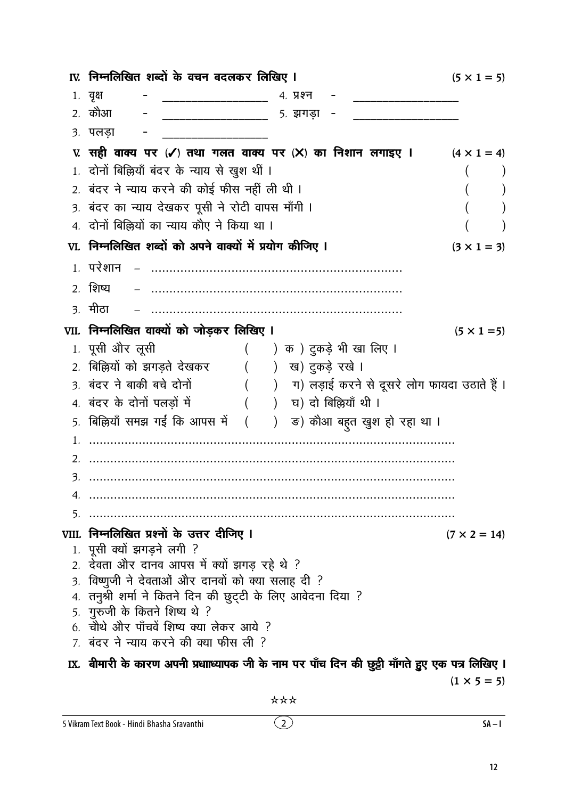|    | IV. निम्नलिखित शब्दों के वचन बदलकर लिखिए I                                                                      | $(5 \times 1 = 5)$  |
|----|-----------------------------------------------------------------------------------------------------------------|---------------------|
|    | 1. वृक्ष<br>4. प्रश्न                                                                                           |                     |
|    | 2. कौआ<br>5. झगड़ा                                                                                              |                     |
|    | ३. पलड़ा                                                                                                        |                     |
|    | ए. सही वाक्य पर (✔) तथा गलत वाक्य पर (╳) का निशान लगाइए ।                                                       | $(4 \times 1 = 4)$  |
|    | 1. दोनों बिल्लियाँ बंदर के न्याय से खुश थीं ।                                                                   |                     |
|    | 2. बंदर ने न्याय करने की कोई फीस नहीं ली थी ।                                                                   |                     |
|    | 3. बंदर का न्याय देखकर पूसी ने रोटी वापस माँगी ।                                                                |                     |
|    | 4. दोनों बिल्लियों का न्याय कौए ने किया था ।                                                                    |                     |
|    | VI. निम्नलिखित शब्दों को अपने वाक्यों में प्रयोग कीजिए ।                                                        | $(3 \times 1 = 3)$  |
|    | 1. परेशान                                                                                                       |                     |
|    | 2. शिष्य                                                                                                        |                     |
|    | <u>3. मीठा</u>                                                                                                  |                     |
|    | VII. निम्नलिखित वाक्यों को जोड़कर लिखिए I                                                                       | $(5 \times 1 = 5)$  |
|    | 1. पूसी ओर लूसी<br>( ) क ) दुकड़े भी खा लिए ।                                                                   |                     |
|    | 2. बिल्लियों को झगड़ते देखकर<br>() ख) दुकड़े रखे ।                                                              |                     |
|    | 3. बंदर ने बाकी बचे दोनों<br>(     )    ग) लड़ाई करने से दूसरे लोग फायदा उठाते हैं ।                            |                     |
|    | ) घ) दो बिल्लियाँ थी ।<br>4. बंदर के दोनों पलड़ों में                                                           |                     |
|    | 5. बिल्लियाँ समझ गईं कि आपस में (<br>) ड) कौआ बहुत खुश हो रहा था ।                                              |                     |
| 1. |                                                                                                                 |                     |
| 2. |                                                                                                                 |                     |
| 3. |                                                                                                                 |                     |
| 4. |                                                                                                                 |                     |
| 5. |                                                                                                                 |                     |
|    | VIII. निम्नलिखित प्रश्नों के उत्तर दीजिए I                                                                      | $(7 \times 2 = 14)$ |
|    | 1. पूसी क्यों झगड़ने लगी ?                                                                                      |                     |
|    | 2. देवता और दानव आपस में क्यों झगड़ रहे थे ?                                                                    |                     |
| 3. | विष्णुजी ने देवताओं और दानवों को क्या सलाह दी ?<br>4. तनुश्री शर्मा ने कितने दिन की छुट्टी के लिए आवेदना दिया ? |                     |
|    | 5. गुरुजी के कितने शिष्य थे ?                                                                                   |                     |
|    | 6. चौथे और पाँचवें शिष्य क्या लेकर आये ?                                                                        |                     |
|    | 7. बंदर ने न्याय करने की क्या फीस ली ?                                                                          |                     |
|    | IX.  बीमारी के कारण अपनी प्रधााध्यापक जी के नाम पर पाँच दिन की छुट्टी माँगते हुए एक पत्र लिखिए ।                |                     |
|    |                                                                                                                 | $(1 \times 5 = 5)$  |

\*\*\*

 $\odot$ 

 $SA-I$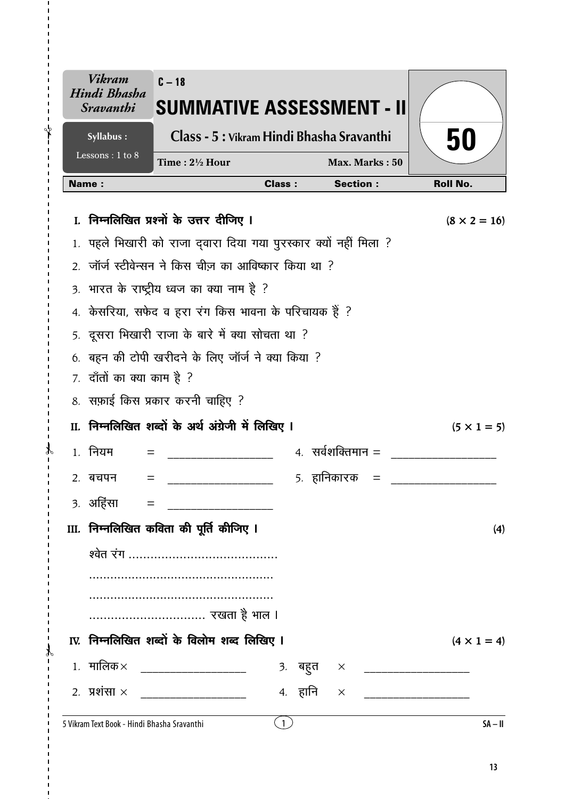|              | <b>Vikram</b><br>Hindi Bhasha<br><i><b>Sravanthi</b></i> | $C - 18$<br><b>SUMMATIVE ASSESSMENT - II</b>                  |               |                              |                     |
|--------------|----------------------------------------------------------|---------------------------------------------------------------|---------------|------------------------------|---------------------|
|              | Syllabus:                                                | Class - 5 : Vikram Hindi Bhasha Sravanthi                     |               |                              | 50                  |
|              | Lessons: 1 to 8                                          | Time: $2\frac{1}{2}$ Hour                                     |               | Max. Marks: 50               |                     |
| <b>Name:</b> |                                                          |                                                               | <b>Class:</b> | <b>Section:</b>              | <b>Roll No.</b>     |
| L.           |                                                          | निम्नलिखित प्रश्नों के उत्तर दीजिए ।                          |               |                              | $(8 \times 2 = 16)$ |
|              |                                                          | पहले भिखारी को राजा दवारा दिया गया पुरस्कार क्यों नहीं मिला ? |               |                              |                     |
|              |                                                          | 2. जॉर्ज स्टीवेन्सन ने किस चीज़ का आविष्कार किया था ?         |               |                              |                     |
|              |                                                          | 3. भारत के राष्ट्रीय ध्वज का क्या नाम है ?                    |               |                              |                     |
|              |                                                          | 4. केसरिया, सफेद व हरा रंग किस भावना के परिचायक हैं ?         |               |                              |                     |
|              |                                                          | 5. दूसरा भिखारी राजा के बारे में क्या सोचता था ?              |               |                              |                     |
|              | 7. दाँतों का क्या काम है ?                               | बहन की टोपी खरीदने के लिए जॉर्ज ने क्या किया ?                |               |                              |                     |
|              |                                                          | 8. सफ़ाई किस प्रकार करनी चाहिए ?                              |               |                              |                     |
|              |                                                          | II. निम्नलिखित शब्दों के अर्थ अंग्रेजी में लिखिए I            |               |                              | $(5 \times 1 = 5)$  |
|              | 1. नियम<br>$=$                                           |                                                               |               | $4.$ सर्वशक्तिमान $=$        |                     |
|              | 2. बचपन                                                  |                                                               |               | 5. हानिकारक                  |                     |
|              |                                                          |                                                               |               |                              |                     |
|              |                                                          | III. निम्नलिखित कविता की पूर्ति कीजिए I                       |               |                              | (4)                 |
|              |                                                          |                                                               |               |                              |                     |
|              |                                                          |                                                               |               |                              |                     |
|              |                                                          |                                                               |               |                              |                     |
|              |                                                          |                                                               |               |                              |                     |
|              |                                                          | IV. निम्नलिखित शब्दों के विलोम शब्द लिखिए I                   |               |                              | $(4 \times 1 = 4)$  |
|              |                                                          | 1. मालिक× _____________________                               |               | 3. बहुत × __________________ |                     |
|              |                                                          | 2. प्रशंसा × ___________________                              | 4. हानि       | $\times$                     |                     |
|              |                                                          | 5 Vikram Text Book - Hindi Bhasha Sravanthi                   | (1)           |                              | $SA - II$           |

ł

⇃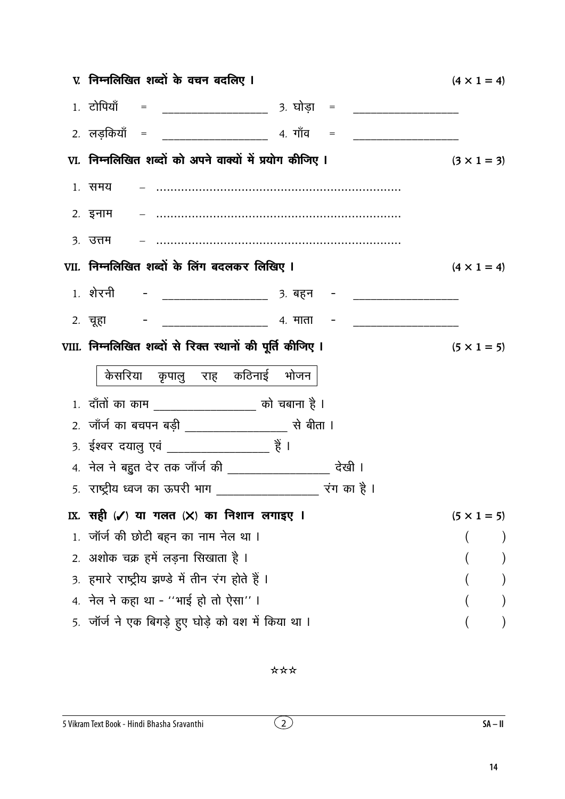| V. निम्नलिखित शब्दों के वचन बदलिए ।                                              | $(4 \times 1 = 4)$ |
|----------------------------------------------------------------------------------|--------------------|
| 1. टोपियाँ = _________________________ 3. घोड़ा = ______________________________ |                    |
|                                                                                  |                    |
| VI. निम्नलिखित शब्दों को अपने वाक्यों में प्रयोग कीजिए ।                         | $(3 \times 1 = 3)$ |
| 1. समय                                                                           |                    |
|                                                                                  |                    |
| ३. उत्तम                                                                         |                    |
| VII. निम्नलिखित शब्दों के लिंग बदलकर लिखिए I                                     | $(4 \times 1 = 4)$ |
|                                                                                  |                    |
|                                                                                  |                    |
| VIII. निम्नलिखित शब्दों से रिक्त स्थानों की पूर्ति कीजिए I                       | $(5 \times 1 = 5)$ |
|                                                                                  |                    |
| केसरिया कृपालु राह कठिनाई भोजन                                                   |                    |
| 1. दाँतों का काम __________________ को चबाना है ।                                |                    |
|                                                                                  |                    |
| 3. ईश्वर दयालु एवं _____________________ हैं ।                                   |                    |
| 4. नेल ने बहुत देर तक जाँर्ज की ___________________ देखी ।                       |                    |
| 5.  राष्ट्रीय ध्वज का ऊपरी भाग                                                   |                    |
| IX. सही (✔) या गलत (╳) का निशान लगाइए ।                                          | $(5 \times 1 = 5)$ |
| 1. जॉर्ज की छोटी बहन का नाम नेल था ।                                             |                    |
| 2. अशोक चक्र हमें लड़ना सिखाता है ।                                              |                    |
| 3. हमारे राष्ट्रीय झण्डे में तीन रंग होते हैं ।                                  |                    |
| 4. नेल ने कहा था - ''भाई हो तो ऐसा'' ।                                           |                    |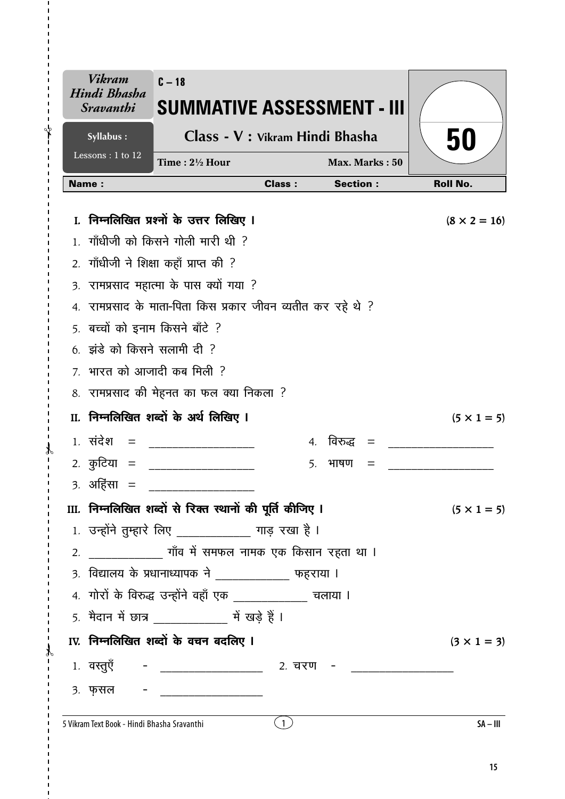|                  | Vikram<br>Hindi Bhasha<br><i><b>Sravanthi</b></i> | $C - 18$<br>SUMMATIVE ASSESSMENT - III                       |               |                   |                     |
|------------------|---------------------------------------------------|--------------------------------------------------------------|---------------|-------------------|---------------------|
|                  | Syllabus:                                         | Class - V : Vikram Hindi Bhasha                              |               |                   | 50                  |
|                  | Lessons: $1$ to $\overline{12}$                   | Time: $2\frac{1}{2}$ Hour                                    |               | Max. Marks: 50    |                     |
|                  | Name:                                             |                                                              | <b>Class:</b> | <b>Section:</b>   | <b>Roll No.</b>     |
|                  |                                                   | I. निम्नलिखित प्रश्नों के उत्तर लिखिए I                      |               |                   | $(8 \times 2 = 16)$ |
|                  |                                                   | गाँधीजी को किसने गोली मारी थी ?                              |               |                   |                     |
| 2.               |                                                   | गाँधीजी ने शिक्षा कहाँ प्राप्त की ?                          |               |                   |                     |
| $\overline{3}$ . |                                                   | रामप्रसाद महात्मा के पास क्यों गया ?                         |               |                   |                     |
|                  |                                                   | 4. रामप्रसाद के माता-पिता किस प्रकार जीवन व्यतीत कर रहे थे ? |               |                   |                     |
|                  | 5. बच्चों को इनाम किसने बाँटे ?                   |                                                              |               |                   |                     |
|                  | $6.$ झंडे को किसने सलामी दी ?                     |                                                              |               |                   |                     |
|                  |                                                   | 7. भारत को आजादी कब मिली ?                                   |               |                   |                     |
|                  |                                                   | 8. रामप्रसाद की मेहनत का फल क्या निकला ?                     |               |                   |                     |
|                  |                                                   | II. निम्नलिखित शब्दों के अर्थ लिखिए I                        |               |                   | $(5 \times 1 = 5)$  |
|                  | $1.$ संदेश =                                      |                                                              |               | 4. विरुद्ध<br>$=$ |                     |
|                  | 2 <i>.</i> कुटिया =                               |                                                              | 5.            | भाषण<br>$=$       |                     |
|                  | ३. अहिंसा                                         |                                                              |               |                   |                     |
|                  |                                                   | III. निम्नलिखित शब्दों से रिक्त स्थानों की पूर्ति कीजिए ।    |               |                   | $(5 \times 1 = 5)$  |
|                  |                                                   | 1. उन्होंने तुम्हारे लिए ____________ गाड़ रखा है ।          |               |                   |                     |
| 2.               |                                                   |                                                              |               |                   |                     |
|                  |                                                   | 3. विद्यालय के प्रधानाध्यापक ने ____________ फहराया ।        |               |                   |                     |
|                  |                                                   | 4. गोरों के विरुद्ध उन्होंने वहाँ एक _____________ चलाया ।   |               |                   |                     |
|                  |                                                   | 5. मैदान में छात्र ______________ में खड़े हैं।              |               |                   |                     |
|                  |                                                   | IV. निम्नलिखित शब्दों के वचन बदलिए I                         |               |                   | $(3 \times 1 = 3)$  |
|                  |                                                   | 1. वस्तुएँ - __________________ 2. चरण - __________          |               |                   |                     |
|                  | 3. फ़सल -                                         |                                                              |               |                   |                     |
|                  | 5 Vikram Text Book - Hindi Bhasha Sravanthi       |                                                              | $\mathbf{1}$  |                   | $SA - III$          |

 $\overline{\phantom{a}}$ 

 $\mathbf{r}$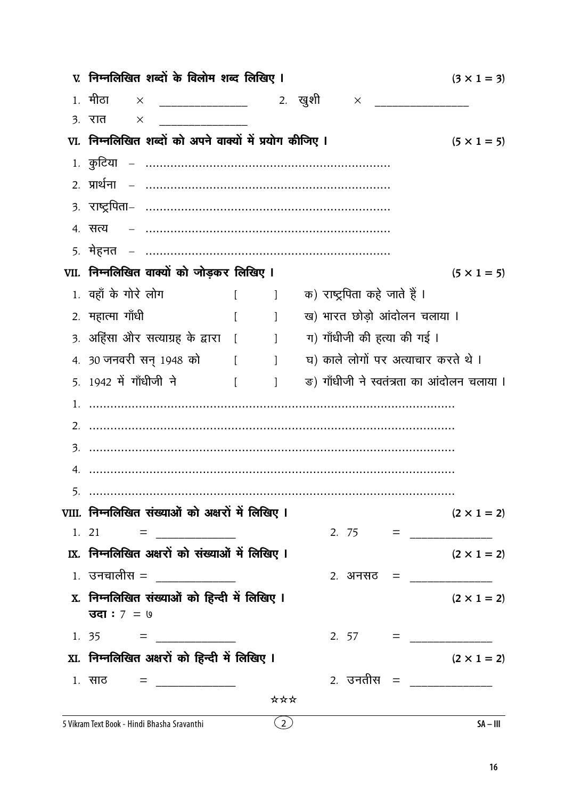| V. निम्नलिखित शब्दों के विलोम शब्द लिखिए I                                                                                                                                                                                                                                                                                                                                                                              |          |                                                |                               | $(3 \times 1 = 3)$                         |
|-------------------------------------------------------------------------------------------------------------------------------------------------------------------------------------------------------------------------------------------------------------------------------------------------------------------------------------------------------------------------------------------------------------------------|----------|------------------------------------------------|-------------------------------|--------------------------------------------|
| 1, मीठा<br>$\mathsf{X}$                                                                                                                                                                                                                                                                                                                                                                                                 |          |                                                |                               |                                            |
| ३. रात<br>X                                                                                                                                                                                                                                                                                                                                                                                                             |          |                                                |                               |                                            |
| VI. निम्नलिखित शब्दों को अपने वाक्यों में प्रयोग कीजिए ।                                                                                                                                                                                                                                                                                                                                                                |          |                                                |                               | $(5 \times 1 = 5)$                         |
|                                                                                                                                                                                                                                                                                                                                                                                                                         |          |                                                |                               |                                            |
|                                                                                                                                                                                                                                                                                                                                                                                                                         |          |                                                |                               |                                            |
|                                                                                                                                                                                                                                                                                                                                                                                                                         |          |                                                |                               |                                            |
| 4. सत्य                                                                                                                                                                                                                                                                                                                                                                                                                 |          |                                                |                               |                                            |
|                                                                                                                                                                                                                                                                                                                                                                                                                         |          |                                                |                               |                                            |
| VII. निम्नलिखित वाक्यों को जोड़कर लिखिए I                                                                                                                                                                                                                                                                                                                                                                               |          |                                                |                               | $(5 \times 1 = 5)$                         |
| 1. वहाँ के गोरे लोग                                                                                                                                                                                                                                                                                                                                                                                                     |          | $\begin{bmatrix} 1 & 1 \\ 1 & 1 \end{bmatrix}$ | क) राष्ट्रपिता कहे जाते हैं । |                                            |
| 2. महात्मा गाँधी                                                                                                                                                                                                                                                                                                                                                                                                        | $\lceil$ | $\sim$ 1                                       |                               | ख) भारत छोड़ो आंदोलन चलाया ।               |
| 3. अहिंसा और सत्याग्रह के द्वारा [       ]                                                                                                                                                                                                                                                                                                                                                                              |          |                                                | ग) गाँधीजी की हत्या की गई ।   |                                            |
| 4. 30 जनवरी सन् 1948 को [ ]                                                                                                                                                                                                                                                                                                                                                                                             |          |                                                |                               | घ) काले लोगों पर अत्याचार करते थे।         |
| 5. 1942 में गाँधीजी ने<br><b>Contract Contract Property</b>                                                                                                                                                                                                                                                                                                                                                             |          | $\sim$ 1                                       |                               | ङ) गाँधीजी ने स्वतंत्रता का आंदोलन चलाया । |
|                                                                                                                                                                                                                                                                                                                                                                                                                         |          |                                                |                               |                                            |
|                                                                                                                                                                                                                                                                                                                                                                                                                         |          |                                                |                               |                                            |
|                                                                                                                                                                                                                                                                                                                                                                                                                         |          |                                                |                               |                                            |
|                                                                                                                                                                                                                                                                                                                                                                                                                         |          |                                                |                               |                                            |
|                                                                                                                                                                                                                                                                                                                                                                                                                         |          |                                                |                               |                                            |
| VIII. निम्नलिखित संख्याओं को अक्षरों में लिखिए I                                                                                                                                                                                                                                                                                                                                                                        |          |                                                |                               | $(2 \times 1 = 2)$                         |
|                                                                                                                                                                                                                                                                                                                                                                                                                         |          |                                                |                               |                                            |
| IX. निम्नलिखित अक्षरों को संख्याओं में लिखिए I                                                                                                                                                                                                                                                                                                                                                                          |          |                                                |                               | $(2 \times 1 = 2)$                         |
| $1.$ उनचालीस = _____________                                                                                                                                                                                                                                                                                                                                                                                            |          |                                                |                               | 2. अनसठ = ______________                   |
| X. निम्नलिखित संख्याओं को हिन्दी में लिखिए I                                                                                                                                                                                                                                                                                                                                                                            |          |                                                |                               | $(2 \times 1 = 2)$                         |
| <b>उदा</b> : 7 = ७                                                                                                                                                                                                                                                                                                                                                                                                      |          |                                                |                               |                                            |
| 1. 35 = $\frac{1}{\sqrt{1-\frac{1}{2}}}\frac{1}{\sqrt{1-\frac{1}{2}}}\frac{1}{\sqrt{1-\frac{1}{2}}}\frac{1}{\sqrt{1-\frac{1}{2}}}\frac{1}{\sqrt{1-\frac{1}{2}}}\frac{1}{\sqrt{1-\frac{1}{2}}}\frac{1}{\sqrt{1-\frac{1}{2}}}\frac{1}{\sqrt{1-\frac{1}{2}}}\frac{1}{\sqrt{1-\frac{1}{2}}}\frac{1}{\sqrt{1-\frac{1}{2}}}\frac{1}{\sqrt{1-\frac{1}{2}}}\frac{1}{\sqrt{1-\frac{1}{2}}}\frac{1}{\sqrt{1-\frac{1}{2}}}\frac{1$ |          |                                                |                               |                                            |
| XI. निम्नलिखित अक्षरों को हिन्दी में लिखिए I                                                                                                                                                                                                                                                                                                                                                                            |          |                                                |                               | $(2 \times 1 = 2)$                         |
|                                                                                                                                                                                                                                                                                                                                                                                                                         |          |                                                |                               | 2 <i>.</i> उनतीस = ______________          |
|                                                                                                                                                                                                                                                                                                                                                                                                                         |          | ***                                            |                               |                                            |
| 5 Vikram Text Book - Hindi Bhasha Sravanthi                                                                                                                                                                                                                                                                                                                                                                             |          | $\binom{2}{}$                                  |                               | $SA - III$                                 |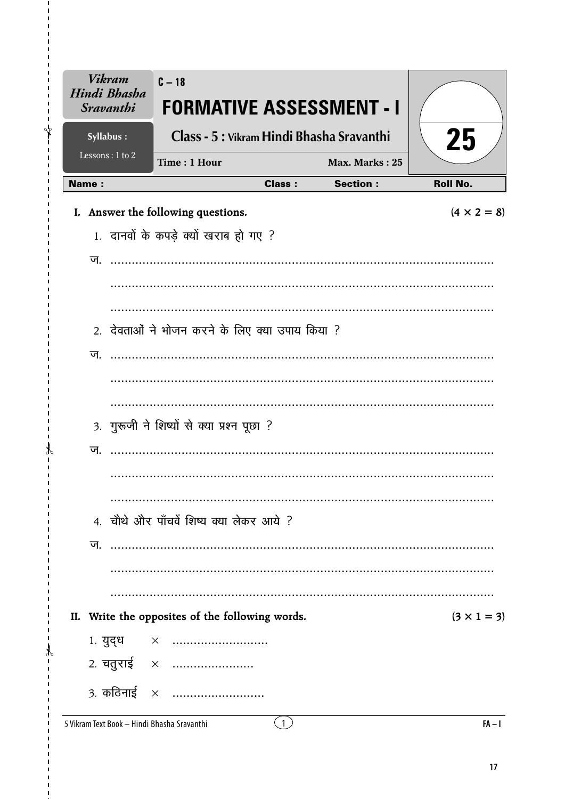| <b>Vikram</b><br>Hindi Bhasha<br><b>Sravanthi</b> | $C - 18$<br>FORMATIVE ASSESSMENT - I            |                |                 |                    |
|---------------------------------------------------|-------------------------------------------------|----------------|-----------------|--------------------|
| Syllabus:                                         | Class - 5 : Vikram Hindi Bhasha Sravanthi       |                |                 | 25                 |
| Lessons: 1 to 2                                   | Time: 1 Hour                                    |                | Max. Marks: 25  |                    |
| <b>Name:</b>                                      |                                                 | <b>Class:</b>  | <b>Section:</b> | <b>Roll No.</b>    |
|                                                   | I. Answer the following questions.              |                |                 | $(4 \times 2 = 8)$ |
|                                                   | 1. दानवों के कपड़े क्यों खराब हो गए ?           |                |                 |                    |
|                                                   |                                                 |                |                 |                    |
|                                                   |                                                 |                |                 |                    |
|                                                   |                                                 |                |                 |                    |
|                                                   | 2. देवताओं ने भोजन करने के लिए क्या उपाय किया ? |                |                 |                    |
| ज.                                                |                                                 |                |                 |                    |
|                                                   |                                                 |                |                 |                    |
|                                                   |                                                 |                |                 |                    |
|                                                   |                                                 |                |                 |                    |
|                                                   | 3. गुरूजी ने शिष्यों से क्या प्रश्न पूछा ?      |                |                 |                    |
| ज.                                                |                                                 |                |                 |                    |
|                                                   |                                                 |                |                 |                    |
|                                                   |                                                 |                |                 |                    |
|                                                   | 4. चौथे और पाँचवें शिष्य क्या लेकर आये ?        |                |                 |                    |
| ज.                                                |                                                 |                |                 |                    |
|                                                   |                                                 |                |                 |                    |
|                                                   |                                                 |                |                 |                    |
| II.                                               | Write the opposites of the following words.     |                |                 | $(3 \times 1 = 3)$ |
|                                                   | 1. युद्ध $\times$                               |                |                 |                    |
|                                                   | 2. चतुराई ×                                     |                |                 |                    |
|                                                   |                                                 |                |                 |                    |
|                                                   | 3. कठिनाई $\times$                              |                |                 |                    |
| 5 Vikram Text Book - Hindi Bhasha Sravanthi       |                                                 | $\overline{1}$ |                 | $FA - I$           |

 $\mathbf{I}$ ⊁่

 $\mathcal{X}$  $\mathbf{r}$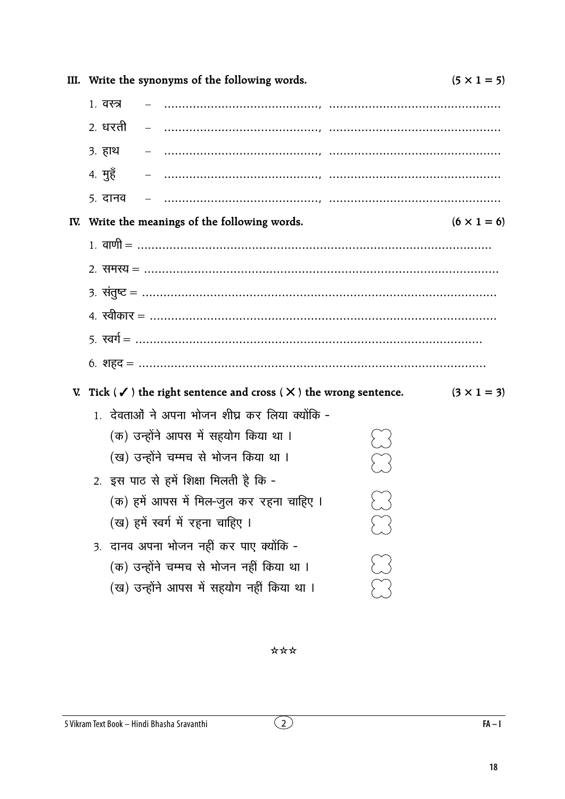\*\*\*

 $(2)$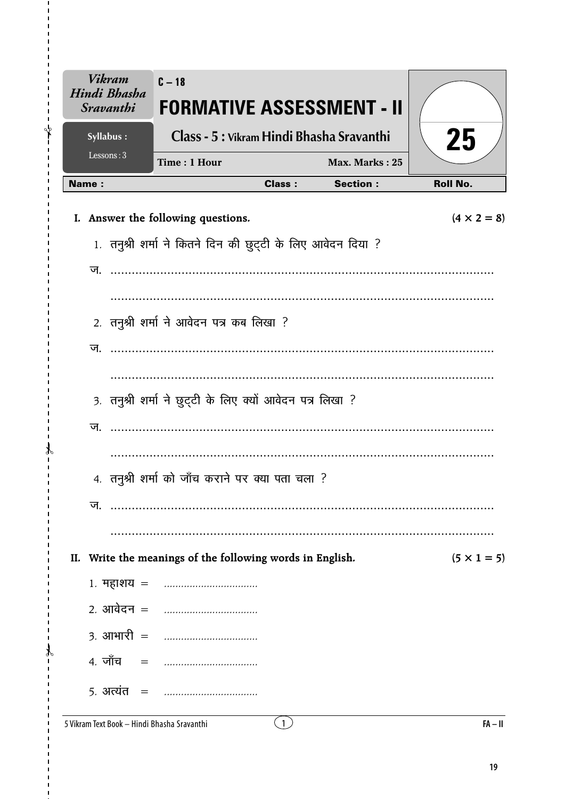| <b>Vikram</b><br>Hindi Bhasha<br><b>Sravanthi</b> | $C - 18$<br><b>FORMATIVE ASSESSMENT - II</b>                |               |                 |                    |
|---------------------------------------------------|-------------------------------------------------------------|---------------|-----------------|--------------------|
| Syllabus:                                         | Class - 5 : Vikram Hindi Bhasha Sravanthi                   |               |                 | 25                 |
| Lessons: $3$                                      | Time: 1 Hour                                                |               | Max. Marks: 25  |                    |
| <b>Name:</b>                                      |                                                             | <b>Class:</b> | <b>Section:</b> | <b>Roll No.</b>    |
|                                                   | I. Answer the following questions.                          |               |                 | $(4 \times 2 = 8)$ |
|                                                   | 1. तनुश्री शर्मा ने कितने दिन की छुट्टी के लिए आवेदन दिया ? |               |                 |                    |
| ज.                                                |                                                             |               |                 |                    |
|                                                   |                                                             |               |                 |                    |
|                                                   | 2. तनुश्री शर्मा ने आवेदन पत्र कब लिखा ?                    |               |                 |                    |
| ज                                                 |                                                             |               |                 |                    |
|                                                   |                                                             | .             |                 |                    |
|                                                   | 3. तनुश्री शर्मा ने छुट्टी के लिए क्यों आवेदन पत्र लिखा ?   |               |                 |                    |
| ज.                                                |                                                             |               |                 |                    |
|                                                   |                                                             |               |                 |                    |
|                                                   | 4. तनुश्री शर्मा को जाँच कराने पर क्या पता चला ?            |               |                 |                    |
| ज.                                                |                                                             |               |                 |                    |
|                                                   |                                                             |               |                 |                    |
| II.                                               | Write the meanings of the following words in English.       |               |                 | $(5 \times 1 = 5)$ |
|                                                   |                                                             |               |                 |                    |
| 2 <i>.</i> आवेदन =                                |                                                             |               |                 |                    |
| $3.$ आभारी $=$                                    | . <b>.</b> .                                                |               |                 |                    |
| 4. जाँच<br>$=$                                    |                                                             |               |                 |                    |
| 5. अत्यंत $=$                                     |                                                             |               |                 |                    |

 $\overline{1}$  $\mathbf{I}$ ั้ัั

 $\mathcal{X}$  $\mathbf{r}$ 

 $\mathcal{F}$  $\blacksquare$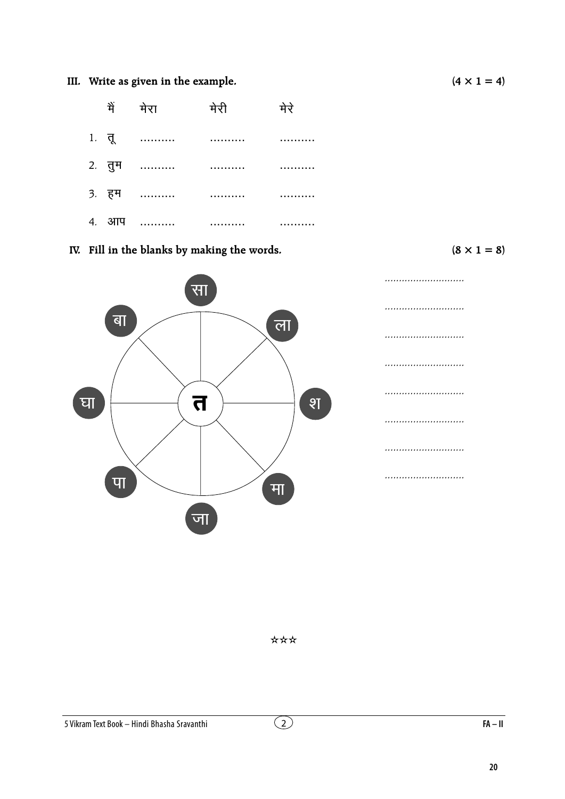### III. Write as given in the example.

|  | में मेरा मेरी        | मेरे |
|--|----------------------|------|
|  |                      |      |
|  |                      |      |
|  | 3. हम ………… ………… ………… |      |
|  |                      |      |

IV. Fill in the blanks by making the words.

 $(8 \times 1 = 8)$ 



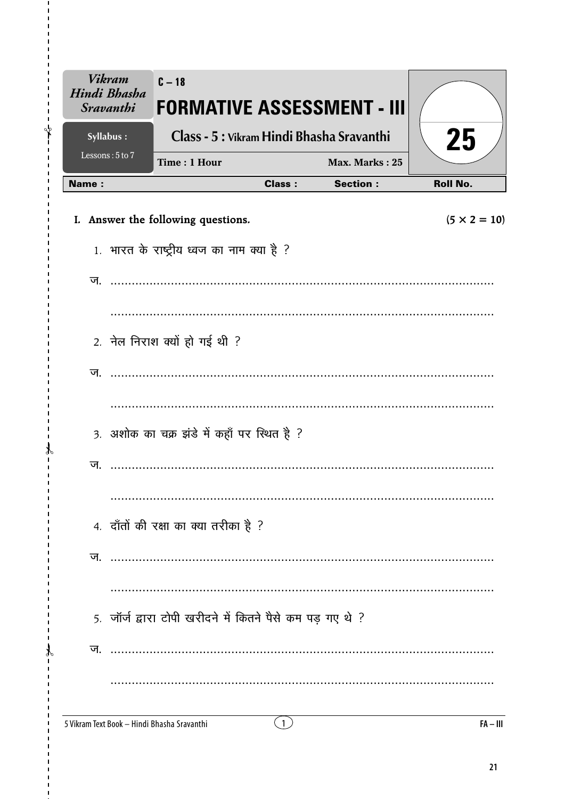| <b>Vikram</b><br>Hindi Bhasha<br><b>Sravanthi</b> | $C - 18$<br><b>FORMATIVE ASSESSMENT - III</b>                                                                                                                                                                                                                                                                                                                                                                            |               |                 |                     |
|---------------------------------------------------|--------------------------------------------------------------------------------------------------------------------------------------------------------------------------------------------------------------------------------------------------------------------------------------------------------------------------------------------------------------------------------------------------------------------------|---------------|-----------------|---------------------|
| Syllabus:                                         | Class - 5 : Vikram Hindi Bhasha Sravanthi                                                                                                                                                                                                                                                                                                                                                                                |               |                 | 25                  |
| Lessons: 5 to 7                                   | Time: 1 Hour                                                                                                                                                                                                                                                                                                                                                                                                             |               | Max. Marks: 25  |                     |
| <b>Name:</b>                                      |                                                                                                                                                                                                                                                                                                                                                                                                                          | <b>Class:</b> | <b>Section:</b> | <b>Roll No.</b>     |
|                                                   | I. Answer the following questions.                                                                                                                                                                                                                                                                                                                                                                                       |               |                 | $(5 \times 2 = 10)$ |
|                                                   | 1. भारत के राष्ट्रीय ध्वज का नाम क्या है ?                                                                                                                                                                                                                                                                                                                                                                               |               |                 |                     |
| ज.                                                |                                                                                                                                                                                                                                                                                                                                                                                                                          |               |                 |                     |
|                                                   |                                                                                                                                                                                                                                                                                                                                                                                                                          |               |                 |                     |
|                                                   | 2. नेल निराश क्यों हो गई थी ?                                                                                                                                                                                                                                                                                                                                                                                            |               |                 |                     |
|                                                   |                                                                                                                                                                                                                                                                                                                                                                                                                          |               |                 |                     |
|                                                   |                                                                                                                                                                                                                                                                                                                                                                                                                          |               |                 |                     |
|                                                   | 3. अशोक का चक्र झंडे में कहाँ पर स्थित है ?                                                                                                                                                                                                                                                                                                                                                                              |               |                 |                     |
| ज.                                                |                                                                                                                                                                                                                                                                                                                                                                                                                          |               |                 |                     |
|                                                   |                                                                                                                                                                                                                                                                                                                                                                                                                          |               |                 |                     |
|                                                   | 4. दाँतों की रक्षा का क्या तरीका है ?                                                                                                                                                                                                                                                                                                                                                                                    |               |                 |                     |
| ज.                                                |                                                                                                                                                                                                                                                                                                                                                                                                                          |               |                 |                     |
|                                                   |                                                                                                                                                                                                                                                                                                                                                                                                                          |               |                 |                     |
|                                                   | 5. जॉर्ज द्वारा टोपी खरीदने में कितने पैसे कम पड़ गए थे ?                                                                                                                                                                                                                                                                                                                                                                |               |                 |                     |
| ज.                                                | $\begin{minipage}{. \begin{tabular}{l} \hline \textbf{1} & \textbf{2} & \textbf{3} & \textbf{4} & \textbf{5} & \textbf{6} & \textbf{6} & \textbf{6} & \textbf{7} & \textbf{8} & \textbf{8} & \textbf{9} & \textbf{10} & \textbf{10} & \textbf{10} & \textbf{10} & \textbf{10} & \textbf{10} & \textbf{10} & \textbf{10} & \textbf{10} & \textbf{10} & \textbf{10} & \textbf{10} & \textbf{10} & \textbf{10} & \textbf{1$ |               |                 |                     |
|                                                   |                                                                                                                                                                                                                                                                                                                                                                                                                          |               |                 |                     |
|                                                   | 5 Vikram Text Book - Hindi Bhasha Sravanthi                                                                                                                                                                                                                                                                                                                                                                              | (1)           |                 | $FA - III$          |

 $\mathbf{I}$  $\sqrt[4]{}$ 

 $\mathcal{X}$  $\overline{1}$ 

 $\mathcal{X}$ 

 $FA - III$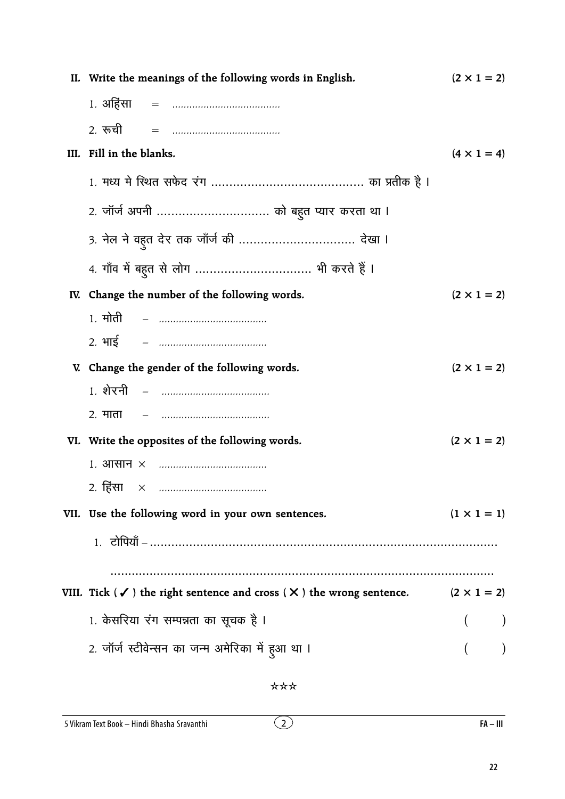| II. Write the meanings of the following words in English.                                                        | $(2 \times 1 = 2)$ |
|------------------------------------------------------------------------------------------------------------------|--------------------|
|                                                                                                                  |                    |
|                                                                                                                  |                    |
| III. Fill in the blanks.                                                                                         | $(4 \times 1 = 4)$ |
|                                                                                                                  |                    |
| 2. जॉर्ज अपनी  को बहुत प्यार करता था ।                                                                           |                    |
| 3. नेल ने वहुत देर तक जाँर्ज की  देखा ।                                                                          |                    |
|                                                                                                                  |                    |
| IV. Change the number of the following words.                                                                    | $(2 \times 1 = 2)$ |
|                                                                                                                  |                    |
|                                                                                                                  |                    |
| V. Change the gender of the following words.                                                                     | $(2 \times 1 = 2)$ |
| <u> 1. शेरनी   –   …………………………………</u>                                                                             |                    |
|                                                                                                                  |                    |
| VI. Write the opposites of the following words.                                                                  | $(2 \times 1 = 2)$ |
|                                                                                                                  |                    |
| 2. हिंसा                                                                                                         |                    |
| VII. Use the following word in your own sentences.                                                               | $(1 \times 1 = 1)$ |
|                                                                                                                  |                    |
|                                                                                                                  |                    |
| VIII. Tick ( $\checkmark$ ) the right sentence and cross ( $\checkmark$ ) the wrong sentence. (2 $\times$ 1 = 2) |                    |
| 1. केसरिया रंग सम्पन्नता का सूचक है ।                                                                            |                    |
| 2. जॉर्ज स्टीवेन्सन का जन्म अमेरिका में हुआ था ।                                                                 |                    |
|                                                                                                                  |                    |

 $\overline{2}$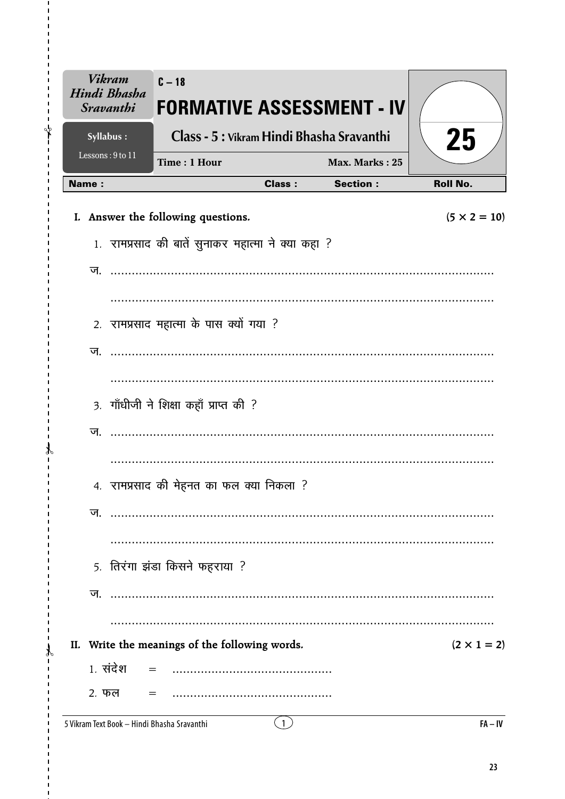| <b>Vikram</b><br>Hindi Bhasha<br><b>Sravanthi</b> | $C - 18$<br><b>FORMATIVE ASSESSMENT - IV</b>       |               |                 |                     |
|---------------------------------------------------|----------------------------------------------------|---------------|-----------------|---------------------|
| Syllabus:                                         | Class - 5 : Vikram Hindi Bhasha Sravanthi          |               |                 | 25                  |
| Lessons: 9 to 11                                  | Time: 1 Hour                                       |               | Max. Marks: 25  |                     |
| <b>Name:</b>                                      |                                                    | <b>Class:</b> | <b>Section:</b> | <b>Roll No.</b>     |
|                                                   | I. Answer the following questions.                 |               |                 | $(5 \times 2 = 10)$ |
|                                                   | 1. रामप्रसाद की बातें सुनाकर महात्मा ने क्या कहा ? |               |                 |                     |
| ज                                                 |                                                    |               |                 |                     |
|                                                   |                                                    |               |                 |                     |
|                                                   | 2. रामप्रसाद महात्मा के पास क्यों गया ?            |               |                 |                     |
| ज.                                                |                                                    |               |                 |                     |
|                                                   |                                                    |               |                 |                     |
|                                                   |                                                    |               |                 |                     |
|                                                   | 3. गाँधीजी ने शिक्षा कहाँ प्राप्त की ?             |               |                 |                     |
| ज.                                                |                                                    |               |                 |                     |
|                                                   |                                                    |               |                 |                     |
|                                                   | 4. रामप्रसाद की मेहनत का फल क्या निकला ?           |               |                 |                     |
| ज.                                                |                                                    |               |                 |                     |
|                                                   |                                                    |               |                 |                     |
|                                                   | 5. तिरंगा झंडा किसने फहराया ?                      |               |                 |                     |
|                                                   |                                                    |               |                 |                     |
| ज.                                                |                                                    |               |                 |                     |
|                                                   |                                                    |               |                 |                     |
|                                                   | II. Write the meanings of the following words.     |               |                 | $(2 \times 1 = 2)$  |
| 1. संदेश                                          |                                                    |               |                 |                     |
| 2. फल                                             |                                                    |               |                 |                     |

5 Vikram Text Book - Hindi Bhasha Sravanthi

 $\mathbf{I}$  $\bigg\{$ 

 $\mathcal{X}$  $\mathbf{r}$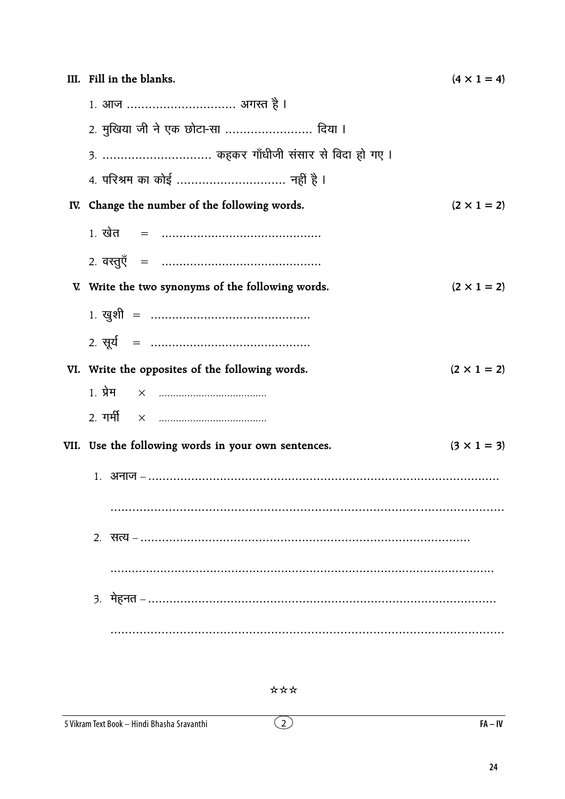| III. Fill in the blanks.                            | $(4 \times 1 = 4)$ |
|-----------------------------------------------------|--------------------|
| 1. आज  अगस्त है ।                                   |                    |
| 2. मुखिया जी ने एक छोटा-सा  दिया ।                  |                    |
| 3.  कहकर गाँधीजी संसार से विदा हो गए ।              |                    |
| 4. परिश्रम का कोई  नहीं है ।                        |                    |
| IV. Change the number of the following words.       | $(2 \times 1 = 2)$ |
|                                                     |                    |
|                                                     |                    |
| V. Write the two synonyms of the following words.   | $(2 \times 1 = 2)$ |
|                                                     |                    |
|                                                     |                    |
| VI. Write the opposites of the following words.     | $(2 \times 1 = 2)$ |
|                                                     |                    |
|                                                     |                    |
| VII. Use the following words in your own sentences. | $(3 \times 1 = 3)$ |
|                                                     |                    |
|                                                     |                    |
|                                                     |                    |
|                                                     |                    |
|                                                     |                    |
|                                                     |                    |

 $\overline{2}$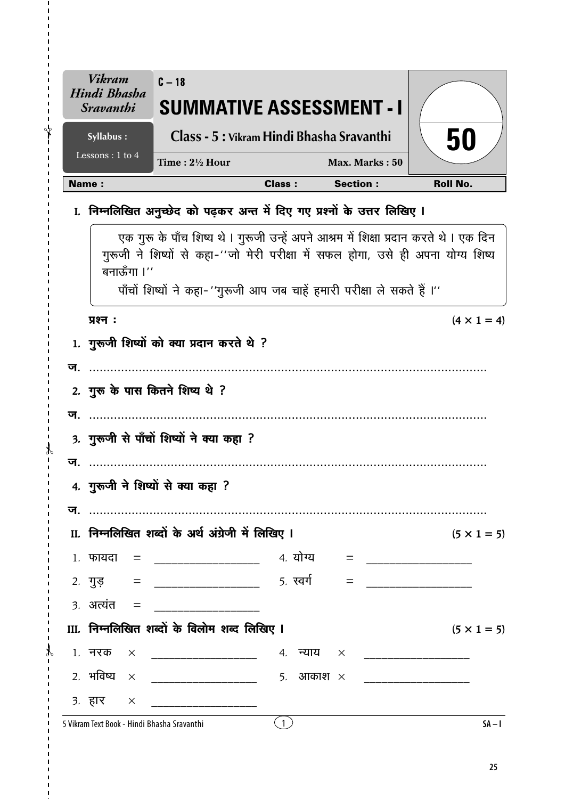|    | <b>Vikram</b><br>Hindi Bhasha<br><i>Sravanthi</i> | $C - 18$<br><b>SUMMATIVE ASSESSMENT - I</b>                                                                                                                                                                                                             |               |                 |                       |
|----|---------------------------------------------------|---------------------------------------------------------------------------------------------------------------------------------------------------------------------------------------------------------------------------------------------------------|---------------|-----------------|-----------------------|
|    | Syllabus:                                         | Class - 5 : Vikram Hindi Bhasha Sravanthi                                                                                                                                                                                                               |               |                 | 50                    |
|    | Lessons: 1 to 4                                   | Time: $2\frac{1}{2}$ Hour                                                                                                                                                                                                                               |               | Max. Marks: 50  |                       |
|    | <b>Name:</b>                                      |                                                                                                                                                                                                                                                         | <b>Class:</b> | <b>Section:</b> | <b>Roll No.</b>       |
|    |                                                   | I. निम्नलिखित अनुच्छेद को पढ़कर अन्त में दिए गए प्रश्नों के उत्तर लिखिए I                                                                                                                                                                               |               |                 |                       |
|    | बनाऊँगा ।''                                       | एक गुरू के पाँच शिष्य थे । गुरूजी उन्हें अपने आश्रम में शिक्षा प्रदान करते थे । एक दिन<br>गुरूजी ने शिष्यों से कहा-''जो मेरी परीक्षा में सफल होगा, उसे ही अपना योग्य शिष्य<br>पाँचों शिष्यों ने कहा- ''गुरूजी आप जब चाहें हमारी परीक्षा ले सकते हैं ।'' |               |                 |                       |
|    | प्रश्न:                                           |                                                                                                                                                                                                                                                         |               |                 | $(4 \times 1 = 4)$    |
|    |                                                   | 1. गुरूजी शिष्यों को क्या प्रदान करते थे ?                                                                                                                                                                                                              |               |                 |                       |
|    |                                                   |                                                                                                                                                                                                                                                         |               |                 |                       |
|    |                                                   | 2. गुरू के पास कितने शिष्य थे ?                                                                                                                                                                                                                         |               |                 |                       |
|    |                                                   |                                                                                                                                                                                                                                                         |               |                 |                       |
|    |                                                   | 3. गुरूजी से पाँचों शिष्यों ने क्या कहा ?                                                                                                                                                                                                               |               |                 |                       |
| ज. |                                                   |                                                                                                                                                                                                                                                         |               |                 |                       |
|    |                                                   | 4. गुरूजी ने शिष्यों से क्या कहा ?                                                                                                                                                                                                                      |               |                 |                       |
|    |                                                   |                                                                                                                                                                                                                                                         |               |                 |                       |
|    |                                                   | II. निम्नलिखित शब्दों के अर्थ अंग्रेजी में लिखिए I                                                                                                                                                                                                      |               |                 | $(5 \times 1 = 5)$    |
|    | $1.$ फायदा =                                      |                                                                                                                                                                                                                                                         |               |                 |                       |
|    |                                                   | 2. गुड़ = ____________________ 5. स्वर्ग                                                                                                                                                                                                                |               | $=$             |                       |
|    | $3.$ अत्यंत =                                     |                                                                                                                                                                                                                                                         |               |                 |                       |
|    |                                                   | III. निम्नलिखित शब्दों के विलोम शब्द लिखिए I                                                                                                                                                                                                            |               |                 | $(5 \times 1 = 5)$    |
|    | 1. नरक                                            |                                                                                                                                                                                                                                                         |               |                 |                       |
|    |                                                   | २. भविष्य $\times$ ______________________ 5. आकाश $\times$                                                                                                                                                                                              |               |                 | _____________________ |
|    | 3. $\overline{g}$ x                               |                                                                                                                                                                                                                                                         |               |                 |                       |
|    |                                                   | 5 Vikram Text Book - Hindi Bhasha Sravanthi                                                                                                                                                                                                             | (1)           |                 | $SA - I$              |

ł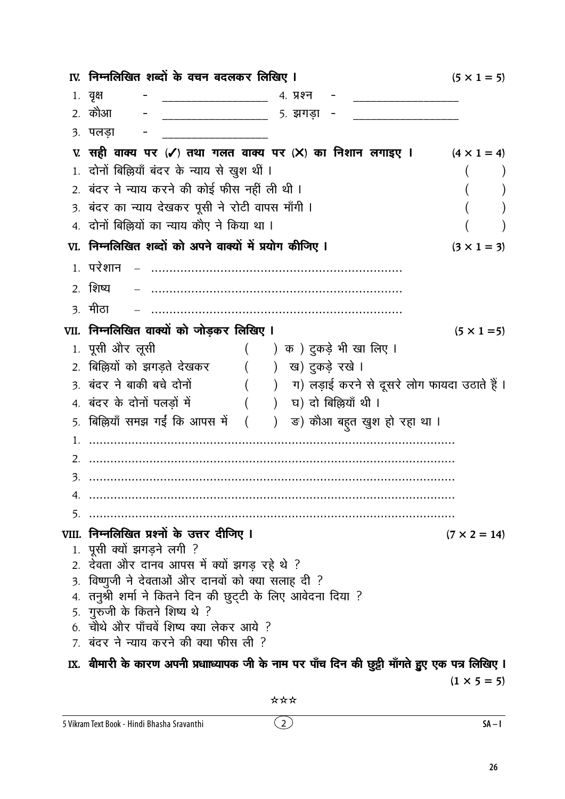|    | IV. निम्नलिखित शब्दों के वचन बदलकर लिखिए I                                                        | $(5 \times 1 = 5)$                                      |
|----|---------------------------------------------------------------------------------------------------|---------------------------------------------------------|
|    | 1. वृक्ष<br>4. प्रश्न                                                                             |                                                         |
|    | 2. कौआ<br>5. झगड़ा                                                                                |                                                         |
|    | ३. पलड़ा                                                                                          |                                                         |
|    | ए. सही वाक्य पर (✔) तथा गलत वाक्य पर (╳) का निशान लगाइए ।                                         | $(4 \times 1 = 4)$                                      |
|    | 1. दोनों बिल्लियाँ बंदर के न्याय से खुश थीं ।                                                     |                                                         |
|    | 2. बंदर ने न्याय करने की कोई फीस नहीं ली थी ।                                                     |                                                         |
|    | 3. बंदर का न्याय देखकर पूसी ने रोटी वापस माँगी ।                                                  |                                                         |
|    | 4. दोनों बिल्लियों का न्याय कौए ने किया था ।                                                      |                                                         |
|    | VI. निम्नलिखित शब्दों को अपने वाक्यों में प्रयोग कीजिए ।                                          | $(3 \times 1 = 3)$                                      |
|    | 1. परेशान                                                                                         |                                                         |
|    | 2. शिष्य                                                                                          |                                                         |
|    | <u>3. मीठा</u>                                                                                    |                                                         |
|    | VII. निम्नलिखित वाक्यों को जोड़कर लिखिए I                                                         | $(5 \times 1 = 5)$                                      |
|    | 1. पूसी ओर लूसी<br>( ) क ) दुकड़े भी खा लिए ।                                                     |                                                         |
|    | 2. बिल्लियों को झगड़ते देखकर<br>() ख) दुकड़े रखे ।                                                |                                                         |
|    | 3. बंदर ने बाकी बचे दोनों                                                                         | (     )    ग) लड़ाई करने से दूसरे लोग फायदा उठाते हैं । |
|    | ) घ) दो बिल्लियाँ थी ।<br>4. बंदर के दोनों पलड़ों में                                             |                                                         |
|    | 5. बिल्लियाँ समझ गईं कि आपस में (<br>) ड) कौआ बहुत खुश हो रहा था ।                                |                                                         |
| 1. |                                                                                                   |                                                         |
| 2. |                                                                                                   |                                                         |
| 3. |                                                                                                   |                                                         |
| 4. |                                                                                                   |                                                         |
| 5. |                                                                                                   |                                                         |
|    | VIII. निम्नलिखित प्रश्नों के उत्तर दीजिए I                                                        | $(7 \times 2 = 14)$                                     |
|    | 1. पूसी क्यों झगड़ने लगी ?                                                                        |                                                         |
| 3. | 2. देवता और दानव आपस में क्यों झगड़ रहे थे ?<br>विष्णुजी ने देवताओं और दानवों को क्या सलाह दी ?   |                                                         |
|    | 4. तनुश्री शर्मा ने कितने दिन की छुट्टी के लिए आवेदना दिया ?                                      |                                                         |
|    | 5. गुरुजी के कितने शिष्य थे ?                                                                     |                                                         |
|    | 6. चौथे और पाँचवें शिष्य क्या लेकर आये ?                                                          |                                                         |
|    | 7. बंदर ने न्याय करने की क्या फीस ली ?                                                            |                                                         |
|    | IX.  बीमारी के कारण अपनी प्रधााध्यापक जी के नाम पर पाँच दिन की छुट्टी माँगते हुुए एक पत्र लिखिए । |                                                         |
|    |                                                                                                   | $(1 \times 5 = 5)$                                      |

 $\odot$ 

 $SA-I$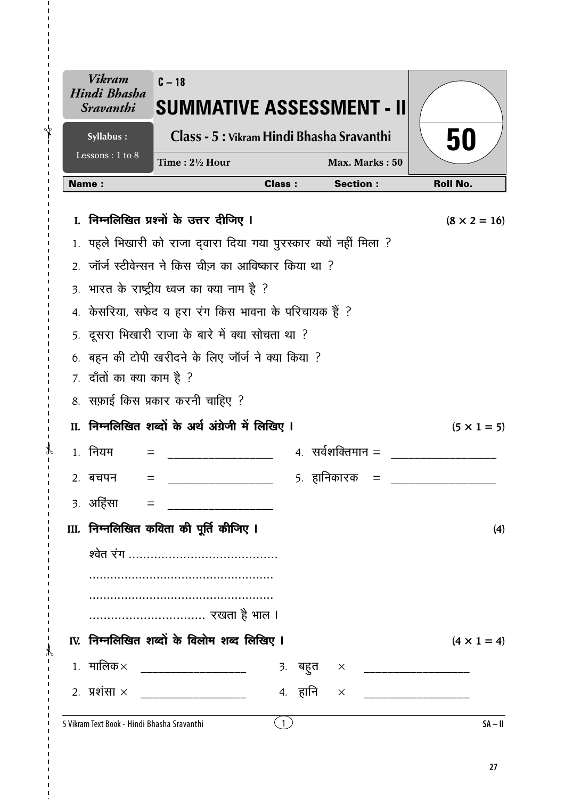|              | <b>Vikram</b><br>Hindi Bhasha<br><i><b>Sravanthi</b></i> | $C - 18$<br><b>SUMMATIVE ASSESSMENT - II</b>                  |               |                              |                     |
|--------------|----------------------------------------------------------|---------------------------------------------------------------|---------------|------------------------------|---------------------|
|              | Syllabus:                                                | Class - 5 : Vikram Hindi Bhasha Sravanthi                     | 50            |                              |                     |
|              | Lessons: 1 to 8                                          | Time: $2\frac{1}{2}$ Hour                                     |               | Max. Marks: 50               |                     |
| <b>Name:</b> |                                                          |                                                               | <b>Class:</b> | <b>Section:</b>              | <b>Roll No.</b>     |
| L.           |                                                          | निम्नलिखित प्रश्नों के उत्तर दीजिए ।                          |               |                              | $(8 \times 2 = 16)$ |
|              |                                                          | पहले भिखारी को राजा दवारा दिया गया पुरस्कार क्यों नहीं मिला ? |               |                              |                     |
|              |                                                          | 2. जॉर्ज स्टीवेन्सन ने किस चीज़ का आविष्कार किया था ?         |               |                              |                     |
|              |                                                          | 3. भारत के राष्ट्रीय ध्वज का क्या नाम है ?                    |               |                              |                     |
|              |                                                          | 4. केसरिया, सफेद व हरा रंग किस भावना के परिचायक हैं ?         |               |                              |                     |
|              |                                                          | 5. दूसरा भिखारी राजा के बारे में क्या सोचता था ?              |               |                              |                     |
|              | 7. दाँतों का क्या काम है ?                               | बहन की टोपी खरीदने के लिए जॉर्ज ने क्या किया ?                |               |                              |                     |
|              |                                                          | 8. सफ़ाई किस प्रकार करनी चाहिए ?                              |               |                              |                     |
|              |                                                          | II. निम्नलिखित शब्दों के अर्थ अंग्रेजी में लिखिए I            |               |                              | $(5 \times 1 = 5)$  |
|              | 1. नियम<br>$=$                                           |                                                               |               | $4.$ सर्वशक्तिमान $=$        |                     |
|              | 2. बचपन                                                  |                                                               |               | 5. हानिकारक                  |                     |
|              |                                                          |                                                               |               |                              |                     |
|              |                                                          | III. निम्नलिखित कविता की पूर्ति कीजिए I                       |               |                              | (4)                 |
|              |                                                          |                                                               |               |                              |                     |
|              |                                                          |                                                               |               |                              |                     |
|              |                                                          |                                                               |               |                              |                     |
|              |                                                          |                                                               |               |                              |                     |
|              |                                                          | IV. निम्नलिखित शब्दों के विलोम शब्द लिखिए I                   |               |                              | $(4 \times 1 = 4)$  |
|              |                                                          | 1. मालिक× _____________________                               |               | 3. बहुत × __________________ |                     |
|              |                                                          | 2. प्रशंसा × ___________________                              | 4. हानि       | $\times$                     |                     |
|              |                                                          | 5 Vikram Text Book - Hindi Bhasha Sravanthi                   | (1)           |                              | $SA - II$           |

ł

ł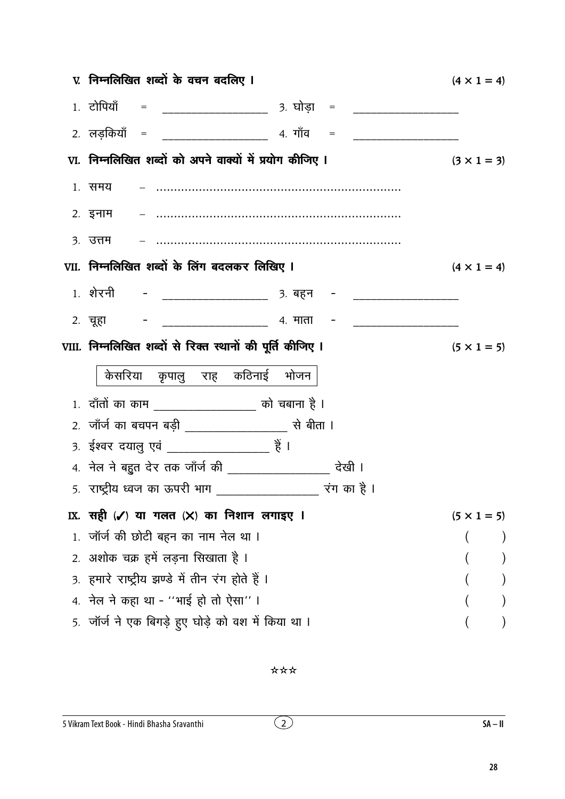| V. निम्नलिखित शब्दों के वचन बदलिए ।                                              | $(4 \times 1 = 4)$ |
|----------------------------------------------------------------------------------|--------------------|
| 1. टोपियाँ  = ________________________ 3. घोड़ा  = _____________________________ |                    |
|                                                                                  |                    |
| VI. निम्नलिखित शब्दों को अपने वाक्यों में प्रयोग कीजिए I                         | $(3 \times 1 = 3)$ |
| 1. समय                                                                           |                    |
|                                                                                  |                    |
| ३. उत्तम                                                                         |                    |
| VII. निम्नलिखित शब्दों के लिंग बदलकर लिखिए I                                     | $(4 \times 1 = 4)$ |
|                                                                                  |                    |
|                                                                                  |                    |
| VIII. निम्नलिखित शब्दों से रिक्त स्थानों की पूर्ति कीजिए ।                       | $(5 \times 1 = 5)$ |
|                                                                                  |                    |
| केसरिया कृपालु राह कठिनाई भोजन                                                   |                    |
|                                                                                  |                    |
| 1. दाँतों का काम __________________ को चबाना है ।                                |                    |
| 3. ईश्वर दयालु एवं ______________________ हैं ।                                  |                    |
| 4. नेल ने बहुत देर तक जाँर्ज की ___________________ देखी ।                       |                    |
| 5.  राष्ट्रीय ध्वज का ऊपरी भाग                                                   |                    |
| IX. सही (✔) या गलत (╳) का निशान लगाइए ।                                          | $(5 \times 1 = 5)$ |
| 1. जॉर्ज की छोटी बहन का नाम नेल था ।                                             |                    |
| 2. अशोक चक्र हमें लड़ना सिखाता है ।                                              |                    |
| 3. हमारे राष्ट्रीय झण्डे में तीन रंग होते हैं ।                                  |                    |
| 4. नेल ने कहा था - ''भाई हो तो ऐसा'' ।                                           |                    |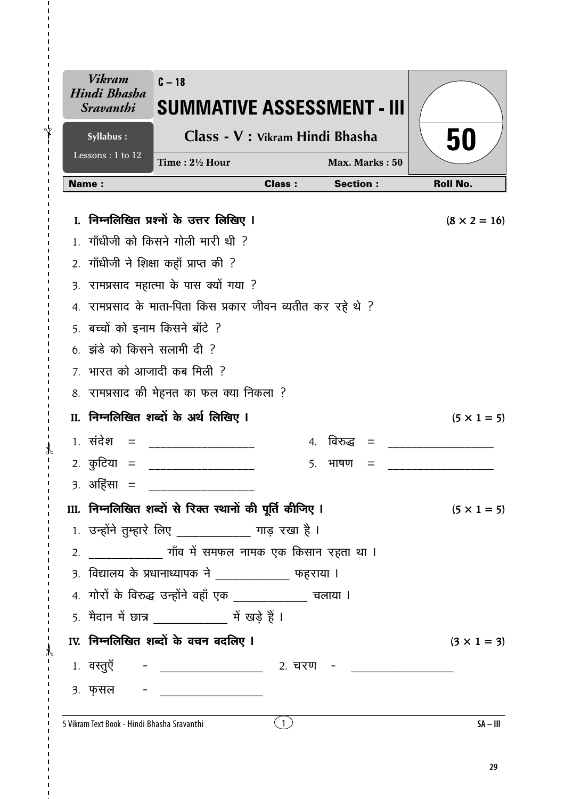|                  | Vikram<br>Hindi Bhasha<br><i><b>Sravanthi</b></i> | $C - 18$<br>SUMMATIVE ASSESSMENT - III                       |               |                   |                     |
|------------------|---------------------------------------------------|--------------------------------------------------------------|---------------|-------------------|---------------------|
|                  | Syllabus:                                         | Class - V : Vikram Hindi Bhasha                              |               |                   | 50                  |
|                  | Lessons: $1$ to $\overline{12}$                   | Time: $2\frac{1}{2}$ Hour                                    |               | Max. Marks: 50    |                     |
|                  | Name:                                             |                                                              | <b>Class:</b> | <b>Section:</b>   | <b>Roll No.</b>     |
|                  |                                                   | I. निम्नलिखित प्रश्नों के उत्तर लिखिए I                      |               |                   | $(8 \times 2 = 16)$ |
|                  |                                                   | गाँधीजी को किसने गोली मारी थी ?                              |               |                   |                     |
| 2.               |                                                   | गाँधीजी ने शिक्षा कहाँ प्राप्त की ?                          |               |                   |                     |
| $\overline{3}$ . |                                                   | रामप्रसाद महात्मा के पास क्यों गया ?                         |               |                   |                     |
|                  |                                                   | 4. रामप्रसाद के माता-पिता किस प्रकार जीवन व्यतीत कर रहे थे ? |               |                   |                     |
|                  | 5. बच्चों को इनाम किसने बाँटे ?                   |                                                              |               |                   |                     |
|                  | $6.$ झंडे को किसने सलामी दी ?                     |                                                              |               |                   |                     |
|                  |                                                   | 7. भारत को आजादी कब मिली ?                                   |               |                   |                     |
|                  |                                                   | 8. रामप्रसाद की मेहनत का फल क्या निकला ?                     |               |                   |                     |
|                  |                                                   | II. निम्नलिखित शब्दों के अर्थ लिखिए I                        |               |                   | $(5 \times 1 = 5)$  |
|                  | $1.$ संदेश =                                      |                                                              |               | 4. विरुद्ध<br>$=$ |                     |
|                  | 2 <i>.</i> कुटिया =                               |                                                              | 5.            | भाषण<br>$=$       |                     |
|                  | ३. अहिंसा                                         |                                                              |               |                   |                     |
|                  |                                                   | III. निम्नलिखित शब्दों से रिक्त स्थानों की पूर्ति कीजिए ।    |               |                   | $(5 \times 1 = 5)$  |
|                  |                                                   | 1. उन्होंने तुम्हारे लिए ____________ गाड़ रखा है ।          |               |                   |                     |
| 2.               |                                                   |                                                              |               |                   |                     |
|                  |                                                   | 3. विद्यालय के प्रधानाध्यापक ने ____________ फहराया ।        |               |                   |                     |
|                  |                                                   | 4. गोरों के विरुद्ध उन्होंने वहाँ एक _____________ चलाया ।   |               |                   |                     |
|                  |                                                   | 5. मैदान में छात्र ______________ में खड़े हैं।              |               |                   |                     |
|                  |                                                   | IV. निम्नलिखित शब्दों के वचन बदलिए I                         |               |                   | $(3 \times 1 = 3)$  |
|                  |                                                   | 1. वस्तुएँ - __________________ 2. चरण - __________          |               |                   |                     |
|                  | 3. फ़सल -                                         |                                                              |               |                   |                     |
|                  | 5 Vikram Text Book - Hindi Bhasha Sravanthi       |                                                              | $\mathbf{1}$  |                   | $SA - III$          |

ł

 $\mathbf{r}$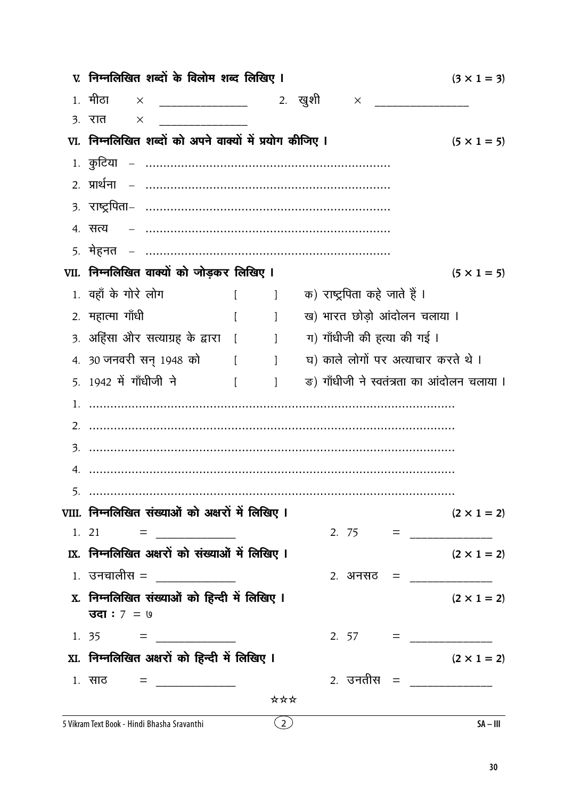| V. निम्नलिखित शब्दों के विलोम शब्द लिखिए I                                                                                                                                                                                                                                                                                                                                                                              |          |                                                |                               | $(3 \times 1 = 3)$                         |
|-------------------------------------------------------------------------------------------------------------------------------------------------------------------------------------------------------------------------------------------------------------------------------------------------------------------------------------------------------------------------------------------------------------------------|----------|------------------------------------------------|-------------------------------|--------------------------------------------|
| 1, मीठा<br>$\mathsf{X}$                                                                                                                                                                                                                                                                                                                                                                                                 |          |                                                |                               |                                            |
| ३. रात<br>X                                                                                                                                                                                                                                                                                                                                                                                                             |          |                                                |                               |                                            |
| VI. निम्नलिखित शब्दों को अपने वाक्यों में प्रयोग कीजिए ।                                                                                                                                                                                                                                                                                                                                                                |          |                                                |                               | $(5 \times 1 = 5)$                         |
|                                                                                                                                                                                                                                                                                                                                                                                                                         |          |                                                |                               |                                            |
|                                                                                                                                                                                                                                                                                                                                                                                                                         |          |                                                |                               |                                            |
|                                                                                                                                                                                                                                                                                                                                                                                                                         |          |                                                |                               |                                            |
| 4. सत्य                                                                                                                                                                                                                                                                                                                                                                                                                 |          |                                                |                               |                                            |
|                                                                                                                                                                                                                                                                                                                                                                                                                         |          |                                                |                               |                                            |
| VII. निम्नलिखित वाक्यों को जोड़कर लिखिए I                                                                                                                                                                                                                                                                                                                                                                               |          |                                                |                               | $(5 \times 1 = 5)$                         |
| 1. वहाँ के गोरे लोग                                                                                                                                                                                                                                                                                                                                                                                                     |          | $\begin{bmatrix} 1 & 1 \\ 1 & 1 \end{bmatrix}$ | क) राष्ट्रपिता कहे जाते हैं । |                                            |
| 2. महात्मा गाँधी                                                                                                                                                                                                                                                                                                                                                                                                        | $\lceil$ | $\sim$ 1                                       |                               | ख) भारत छोड़ो आंदोलन चलाया ।               |
| 3. अहिंसा और सत्याग्रह के द्वारा [       ]                                                                                                                                                                                                                                                                                                                                                                              |          |                                                | ग) गाँधीजी की हत्या की गई ।   |                                            |
| 4. 30 जनवरी सन् 1948 को [ ]                                                                                                                                                                                                                                                                                                                                                                                             |          |                                                |                               | घ) काले लोगों पर अत्याचार करते थे।         |
| 5. 1942 में गाँधीजी ने<br><b>Contract Contract Property</b>                                                                                                                                                                                                                                                                                                                                                             |          | $\sim$ 1                                       |                               | ङ) गाँधीजी ने स्वतंत्रता का आंदोलन चलाया । |
|                                                                                                                                                                                                                                                                                                                                                                                                                         |          |                                                |                               |                                            |
|                                                                                                                                                                                                                                                                                                                                                                                                                         |          |                                                |                               |                                            |
|                                                                                                                                                                                                                                                                                                                                                                                                                         |          |                                                |                               |                                            |
|                                                                                                                                                                                                                                                                                                                                                                                                                         |          |                                                |                               |                                            |
|                                                                                                                                                                                                                                                                                                                                                                                                                         |          |                                                |                               |                                            |
| VIII. निम्नलिखित संख्याओं को अक्षरों में लिखिए I                                                                                                                                                                                                                                                                                                                                                                        |          |                                                |                               | $(2 \times 1 = 2)$                         |
|                                                                                                                                                                                                                                                                                                                                                                                                                         |          |                                                |                               |                                            |
| IX. निम्नलिखित अक्षरों को संख्याओं में लिखिए I                                                                                                                                                                                                                                                                                                                                                                          |          |                                                |                               | $(2 \times 1 = 2)$                         |
| $1.$ उनचालीस = _____________                                                                                                                                                                                                                                                                                                                                                                                            |          |                                                |                               | 2. अनसठ = _____________                    |
| X. निम्नलिखित संख्याओं को हिन्दी में लिखिए I                                                                                                                                                                                                                                                                                                                                                                            |          |                                                |                               | $(2 \times 1 = 2)$                         |
| <b>उदा</b> : 7 = ७                                                                                                                                                                                                                                                                                                                                                                                                      |          |                                                |                               |                                            |
| 1. 35 = $\frac{1}{\sqrt{1-\frac{1}{2}}}\frac{1}{\sqrt{1-\frac{1}{2}}}\frac{1}{\sqrt{1-\frac{1}{2}}}\frac{1}{\sqrt{1-\frac{1}{2}}}\frac{1}{\sqrt{1-\frac{1}{2}}}\frac{1}{\sqrt{1-\frac{1}{2}}}\frac{1}{\sqrt{1-\frac{1}{2}}}\frac{1}{\sqrt{1-\frac{1}{2}}}\frac{1}{\sqrt{1-\frac{1}{2}}}\frac{1}{\sqrt{1-\frac{1}{2}}}\frac{1}{\sqrt{1-\frac{1}{2}}}\frac{1}{\sqrt{1-\frac{1}{2}}}\frac{1}{\sqrt{1-\frac{1}{2}}}\frac{1$ |          |                                                |                               |                                            |
| XI. निम्नलिखित अक्षरों को हिन्दी में लिखिए I                                                                                                                                                                                                                                                                                                                                                                            |          |                                                |                               | $(2 \times 1 = 2)$                         |
| 1. साठ = ____________                                                                                                                                                                                                                                                                                                                                                                                                   |          |                                                |                               | 2 <i>.</i> उनतीस = ______________          |
|                                                                                                                                                                                                                                                                                                                                                                                                                         |          | ***                                            |                               |                                            |
| 5 Vikram Text Book - Hindi Bhasha Sravanthi                                                                                                                                                                                                                                                                                                                                                                             |          | $\overline{(2)}$                               |                               | $SA - III$                                 |